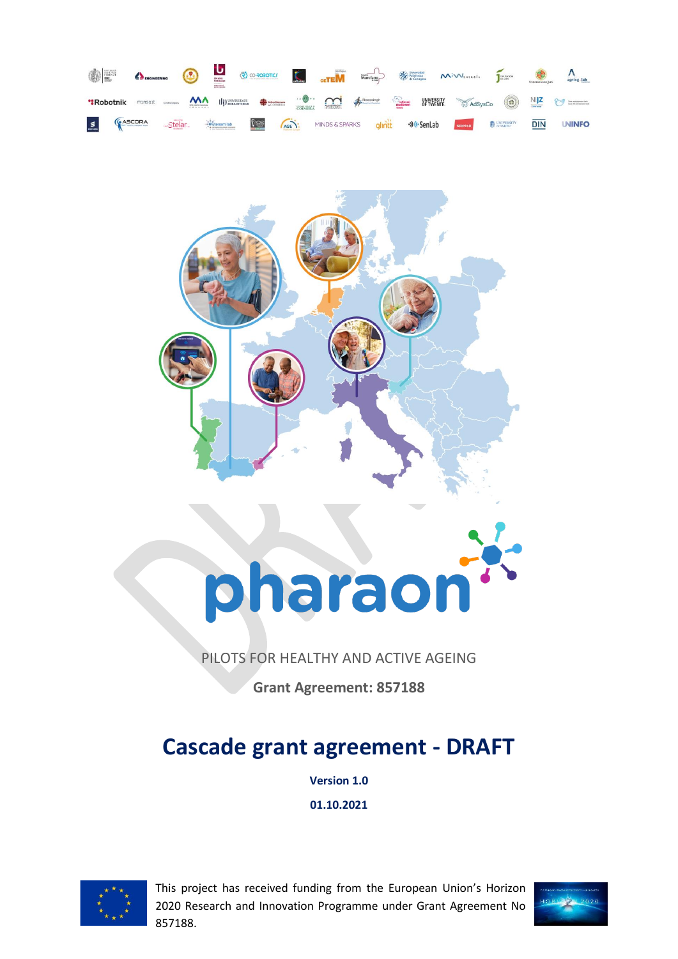



# pharaon

# PILOTS FOR HEALTHY AND ACTIVE AGEING

**Grant Agreement: 857188**

# **Cascade grant agreement - DRAFT**

**Version 1.0**

**01.10.2021**



This project has received funding from the European Union's Horizon 2020 Research and Innovation Programme under Grant Agreement No 857188.

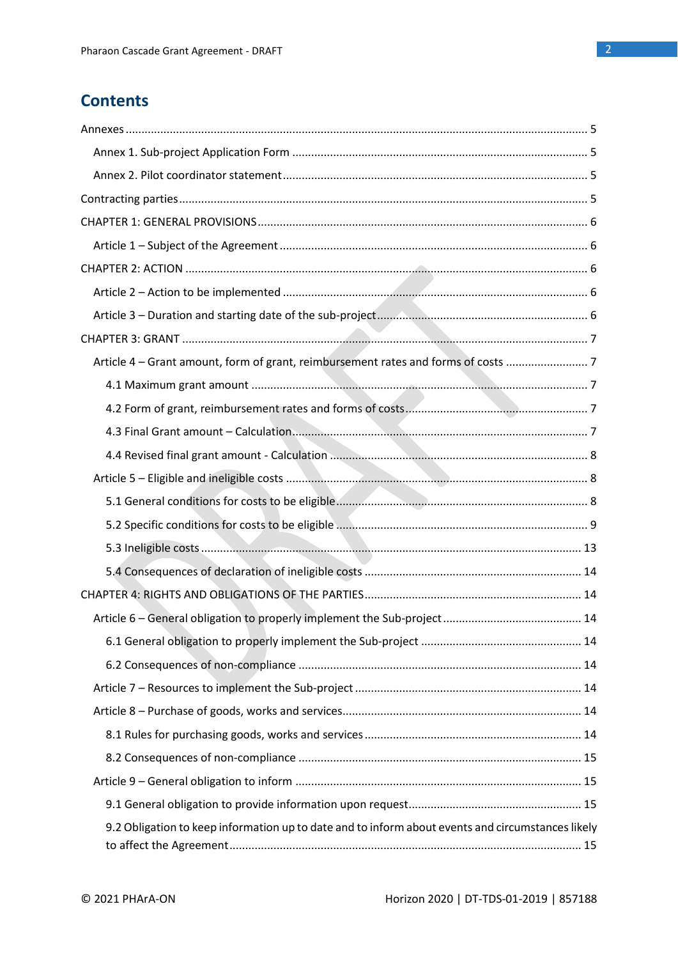# **Contents**

| Article 4 – Grant amount, form of grant, reimbursement rates and forms of costs |  |
|---------------------------------------------------------------------------------|--|
|                                                                                 |  |
|                                                                                 |  |
|                                                                                 |  |
|                                                                                 |  |
|                                                                                 |  |
|                                                                                 |  |
|                                                                                 |  |
|                                                                                 |  |
|                                                                                 |  |
|                                                                                 |  |
|                                                                                 |  |
|                                                                                 |  |
|                                                                                 |  |
|                                                                                 |  |
|                                                                                 |  |
|                                                                                 |  |
|                                                                                 |  |
|                                                                                 |  |
|                                                                                 |  |
|                                                                                 |  |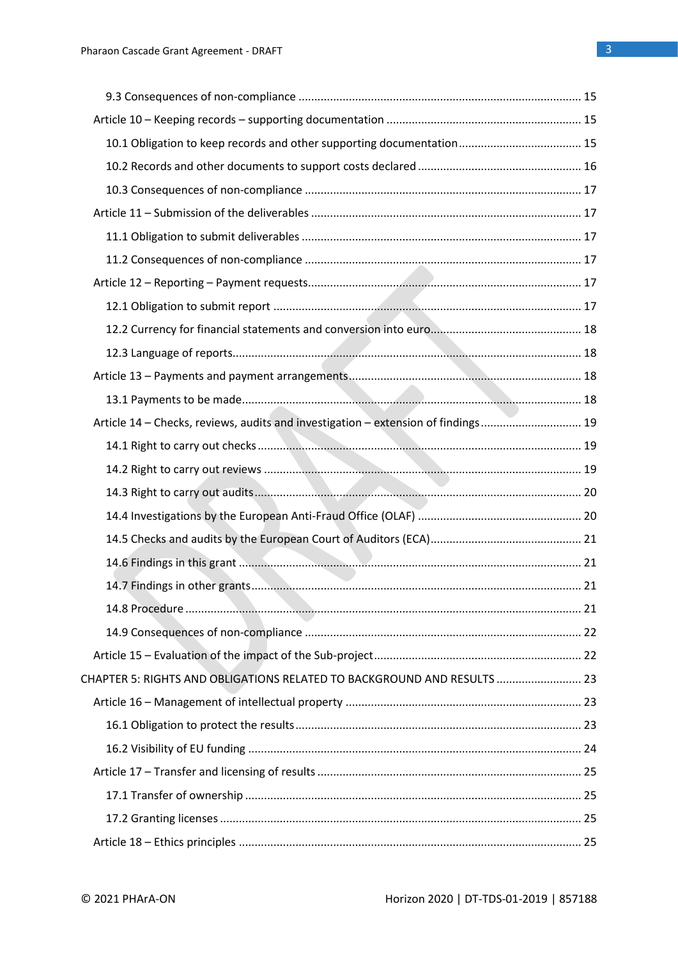| Article 14 - Checks, reviews, audits and investigation - extension of findings 19 |  |
|-----------------------------------------------------------------------------------|--|
|                                                                                   |  |
|                                                                                   |  |
|                                                                                   |  |
|                                                                                   |  |
|                                                                                   |  |
|                                                                                   |  |
|                                                                                   |  |
|                                                                                   |  |
|                                                                                   |  |
|                                                                                   |  |
| CHAPTER 5: RIGHTS AND OBLIGATIONS RELATED TO BACKGROUND AND RESULTS  23           |  |
|                                                                                   |  |
|                                                                                   |  |
|                                                                                   |  |
|                                                                                   |  |
|                                                                                   |  |
|                                                                                   |  |
|                                                                                   |  |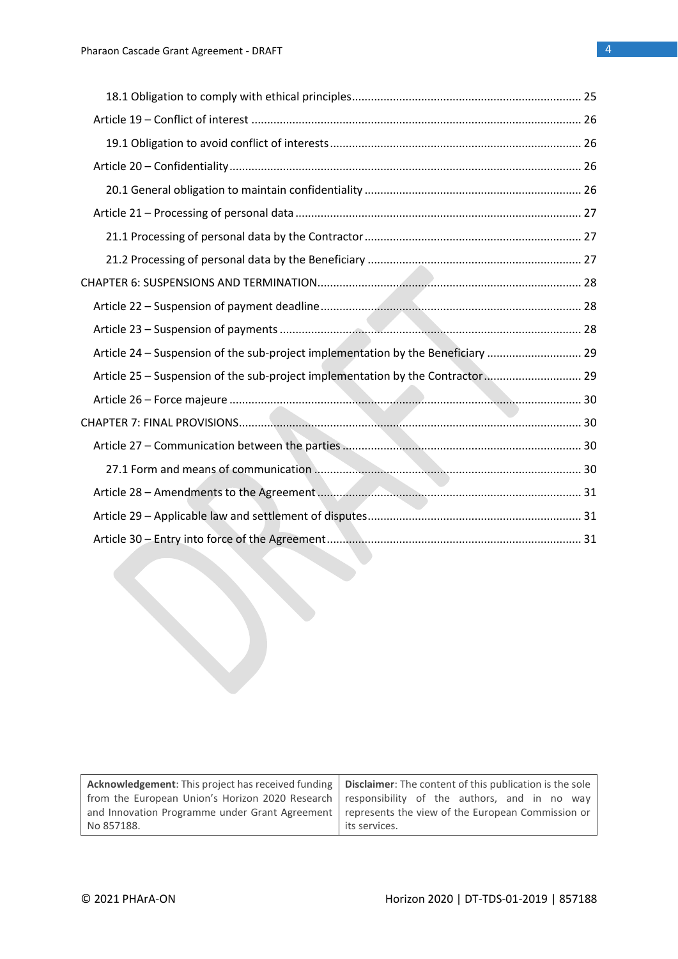| Article 24 – Suspension of the sub-project implementation by the Beneficiary  29 |  |
|----------------------------------------------------------------------------------|--|
| Article 25 - Suspension of the sub-project implementation by the Contractor 29   |  |
|                                                                                  |  |
|                                                                                  |  |
|                                                                                  |  |
|                                                                                  |  |
|                                                                                  |  |
|                                                                                  |  |
|                                                                                  |  |

| Acknowledgement: This project has received funding   Disclaimer: The content of this publication is the sole     |                |  |  |
|------------------------------------------------------------------------------------------------------------------|----------------|--|--|
| from the European Union's Horizon 2020 Research   responsibility of the authors, and in no way                   |                |  |  |
| and Innovation Programme under Grant Agreement   represents the view of the European Commission or<br>No 857188. | lits services. |  |  |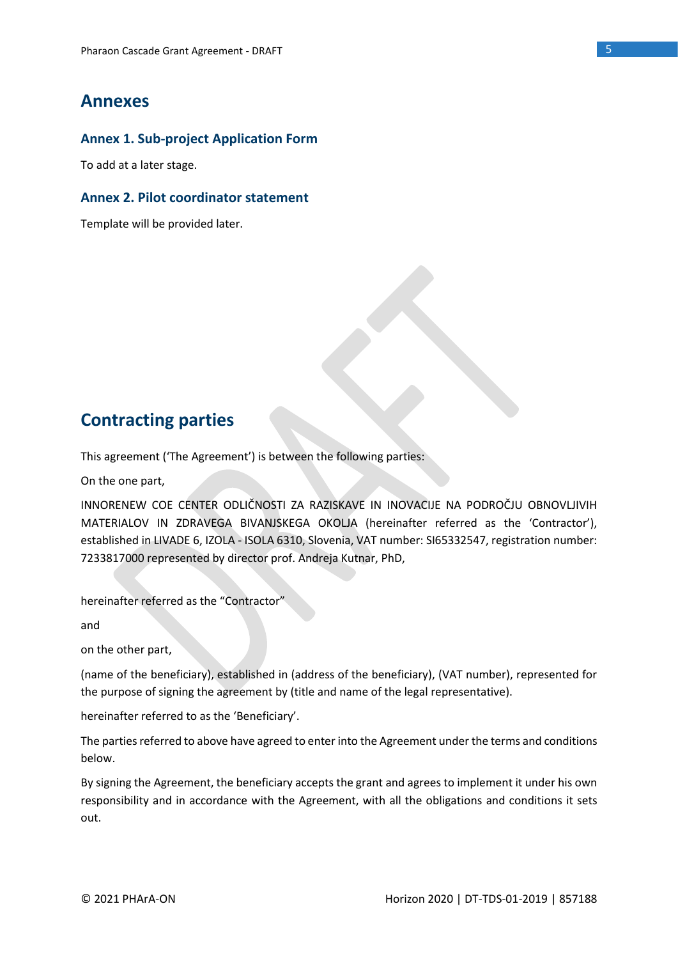## **Annexes**

### **Annex 1. Sub-project Application Form**

To add at a later stage.

### **Annex 2. Pilot coordinator statement**

Template will be provided later.

# **Contracting parties**

This agreement ('The Agreement') is between the following parties:

On the one part,

INNORENEW COE CENTER ODLIČNOSTI ZA RAZISKAVE IN INOVACIJE NA PODROČJU OBNOVLJIVIH MATERIALOV IN ZDRAVEGA BIVANJSKEGA OKOLJA (hereinafter referred as the 'Contractor'), established in LIVADE 6, IZOLA - ISOLA 6310, Slovenia, VAT number: SI65332547, registration number: 7233817000 represented by director prof. Andreja Kutnar, PhD,

hereinafter referred as the "Contractor"

and

on the other part,

(name of the beneficiary), established in (address of the beneficiary), (VAT number), represented for the purpose of signing the agreement by (title and name of the legal representative).

hereinafter referred to as the 'Beneficiary'.

The parties referred to above have agreed to enter into the Agreement under the terms and conditions below.

By signing the Agreement, the beneficiary accepts the grant and agrees to implement it under his own responsibility and in accordance with the Agreement, with all the obligations and conditions it sets out.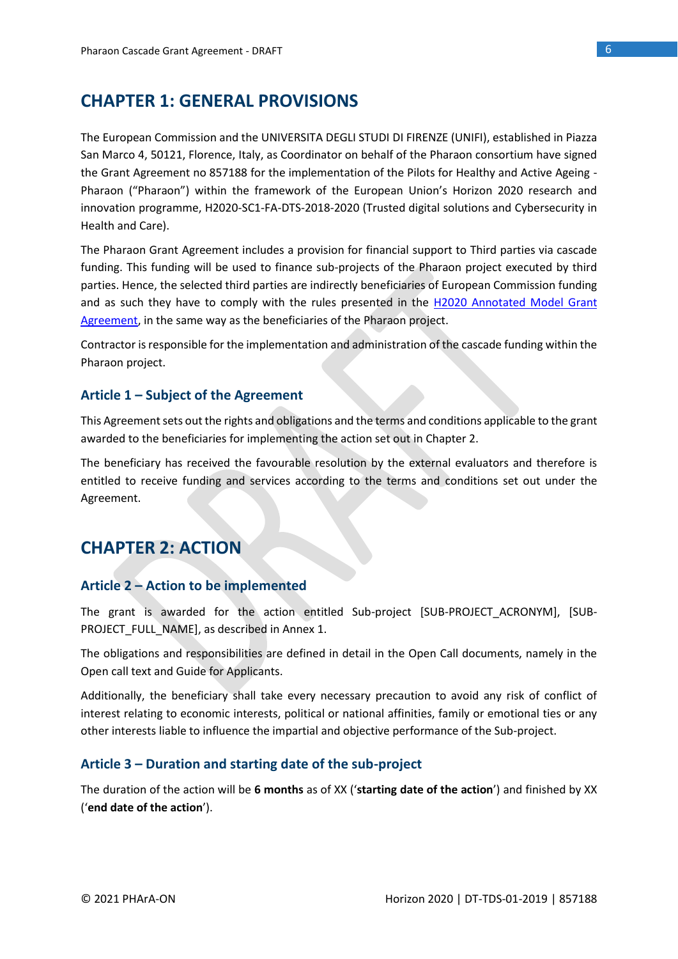# **CHAPTER 1: GENERAL PROVISIONS**

The European Commission and the UNIVERSITA DEGLI STUDI DI FIRENZE (UNIFI), established in Piazza San Marco 4, 50121, Florence, Italy, as Coordinator on behalf of the Pharaon consortium have signed the Grant Agreement no 857188 for the implementation of the Pilots for Healthy and Active Ageing - Pharaon ("Pharaon") within the framework of the European Union's Horizon 2020 research and innovation programme, H2020-SC1-FA-DTS-2018-2020 (Trusted digital solutions and Cybersecurity in Health and Care).

The Pharaon Grant Agreement includes a provision for financial support to Third parties via cascade funding. This funding will be used to finance sub-projects of the Pharaon project executed by third parties. Hence, the selected third parties are indirectly beneficiaries of European Commission funding and as such they have to comply with the rules presented in the [H2020 Annotated Model Grant](https://ec.europa.eu/research/participants/data/ref/h2020/grants_manual/amga/h2020-amga_en.pdf)  [Agreement,](https://ec.europa.eu/research/participants/data/ref/h2020/grants_manual/amga/h2020-amga_en.pdf) in the same way as the beneficiaries of the Pharaon project.

Contractor is responsible for the implementation and administration of the cascade funding within the Pharaon project.

### **Article 1 – Subject of the Agreement**

This Agreement sets out the rights and obligations and the terms and conditions applicable to the grant awarded to the beneficiaries for implementing the action set out in Chapter 2.

The beneficiary has received the favourable resolution by the external evaluators and therefore is entitled to receive funding and services according to the terms and conditions set out under the Agreement.

# **CHAPTER 2: ACTION**

### **Article 2 – Action to be implemented**

The grant is awarded for the action entitled Sub-project [SUB-PROJECT\_ACRONYM], [SUB-PROJECT\_FULL\_NAME], as described in Annex 1.

The obligations and responsibilities are defined in detail in the Open Call documents, namely in the Open call text and Guide for Applicants.

Additionally, the beneficiary shall take every necessary precaution to avoid any risk of conflict of interest relating to economic interests, political or national affinities, family or emotional ties or any other interests liable to influence the impartial and objective performance of the Sub-project.

### **Article 3 – Duration and starting date of the sub-project**

The duration of the action will be **6 months** as of XX ('**starting date of the action**') and finished by XX ('**end date of the action**').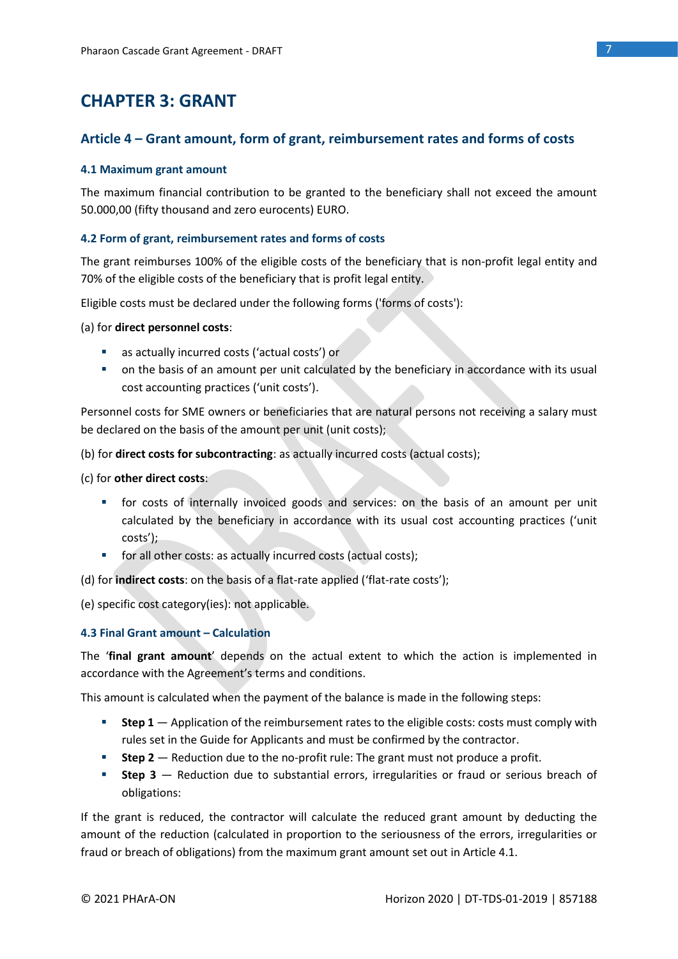# **CHAPTER 3: GRANT**

### **Article 4 – Grant amount, form of grant, reimbursement rates and forms of costs**

### **4.1 Maximum grant amount**

The maximum financial contribution to be granted to the beneficiary shall not exceed the amount 50.000,00 (fifty thousand and zero eurocents) EURO.

### **4.2 Form of grant, reimbursement rates and forms of costs**

The grant reimburses 100% of the eligible costs of the beneficiary that is non-profit legal entity and 70% of the eligible costs of the beneficiary that is profit legal entity.

Eligible costs must be declared under the following forms ('forms of costs'):

### (a) for **direct personnel costs**:

- as actually incurred costs ('actual costs') or
- on the basis of an amount per unit calculated by the beneficiary in accordance with its usual cost accounting practices ('unit costs').

Personnel costs for SME owners or beneficiaries that are natural persons not receiving a salary must be declared on the basis of the amount per unit (unit costs);

(b) for **direct costs for subcontracting**: as actually incurred costs (actual costs);

(c) for **other direct costs**:

- **■** for costs of internally invoiced goods and services: on the basis of an amount per unit calculated by the beneficiary in accordance with its usual cost accounting practices ('unit costs');
- for all other costs: as actually incurred costs (actual costs);

(d) for **indirect costs**: on the basis of a flat-rate applied ('flat-rate costs');

(e) specific cost category(ies): not applicable.

### **4.3 Final Grant amount – Calculation**

The '**final grant amount**' depends on the actual extent to which the action is implemented in accordance with the Agreement's terms and conditions.

This amount is calculated when the payment of the balance is made in the following steps:

- **EXECTE:** Step 1 Application of the reimbursement rates to the eligible costs: costs must comply with rules set in the Guide for Applicants and must be confirmed by the contractor.
- **Step 2** Reduction due to the no-profit rule: The grant must not produce a profit.
- **EXTED 3** Reduction due to substantial errors, irregularities or fraud or serious breach of obligations:

If the grant is reduced, the contractor will calculate the reduced grant amount by deducting the amount of the reduction (calculated in proportion to the seriousness of the errors, irregularities or fraud or breach of obligations) from the maximum grant amount set out in Article 4.1.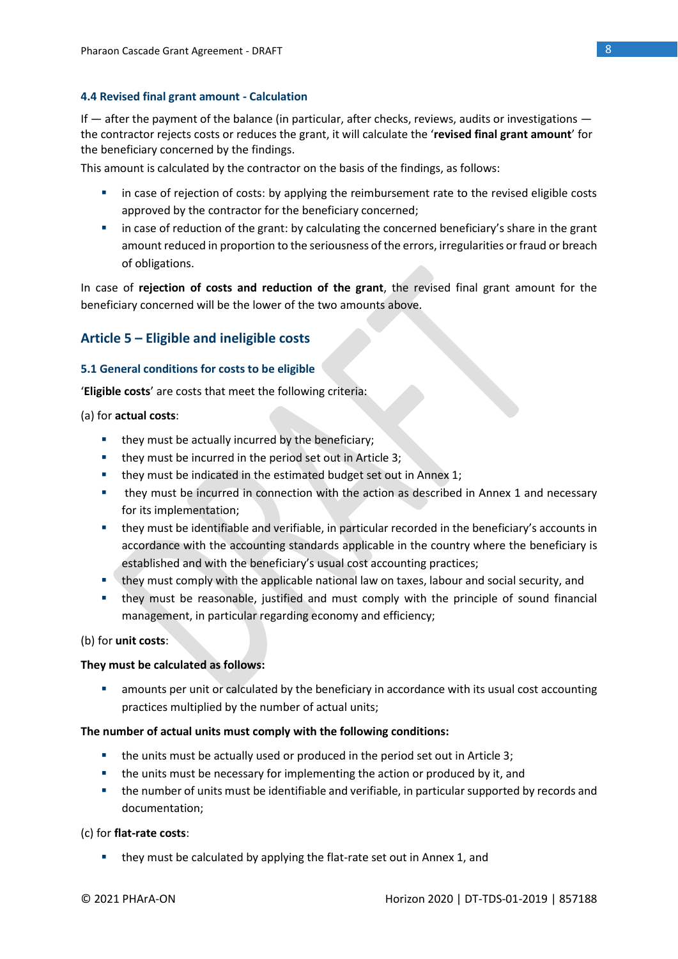### **4.4 Revised final grant amount - Calculation**

If  $-$  after the payment of the balance (in particular, after checks, reviews, audits or investigations  $$ the contractor rejects costs or reduces the grant, it will calculate the '**revised final grant amount**' for the beneficiary concerned by the findings.

This amount is calculated by the contractor on the basis of the findings, as follows:

- **■** in case of rejection of costs: by applying the reimbursement rate to the revised eligible costs approved by the contractor for the beneficiary concerned;
- in case of reduction of the grant: by calculating the concerned beneficiary's share in the grant amount reduced in proportion to the seriousness of the errors, irregularities or fraud or breach of obligations.

In case of **rejection of costs and reduction of the grant**, the revised final grant amount for the beneficiary concerned will be the lower of the two amounts above.

### **Article 5 – Eligible and ineligible costs**

### **5.1 General conditions for costs to be eligible**

'**Eligible costs**' are costs that meet the following criteria:

### (a) for **actual costs**:

- they must be actually incurred by the beneficiary;
- they must be incurred in the period set out in Article 3;
- they must be indicated in the estimated budget set out in Annex 1;
- they must be incurred in connection with the action as described in Annex 1 and necessary for its implementation;
- they must be identifiable and verifiable, in particular recorded in the beneficiary's accounts in accordance with the accounting standards applicable in the country where the beneficiary is established and with the beneficiary's usual cost accounting practices;
- **EXT** they must comply with the applicable national law on taxes, labour and social security, and
- **.** they must be reasonable, justified and must comply with the principle of sound financial management, in particular regarding economy and efficiency;

### (b) for **unit costs**:

### **They must be calculated as follows:**

**E** amounts per unit or calculated by the beneficiary in accordance with its usual cost accounting practices multiplied by the number of actual units;

### **The number of actual units must comply with the following conditions:**

- the units must be actually used or produced in the period set out in Article 3;
- the units must be necessary for implementing the action or produced by it, and
- the number of units must be identifiable and verifiable, in particular supported by records and documentation;

### (c) for **flat-rate costs**:

■ they must be calculated by applying the flat-rate set out in Annex 1, and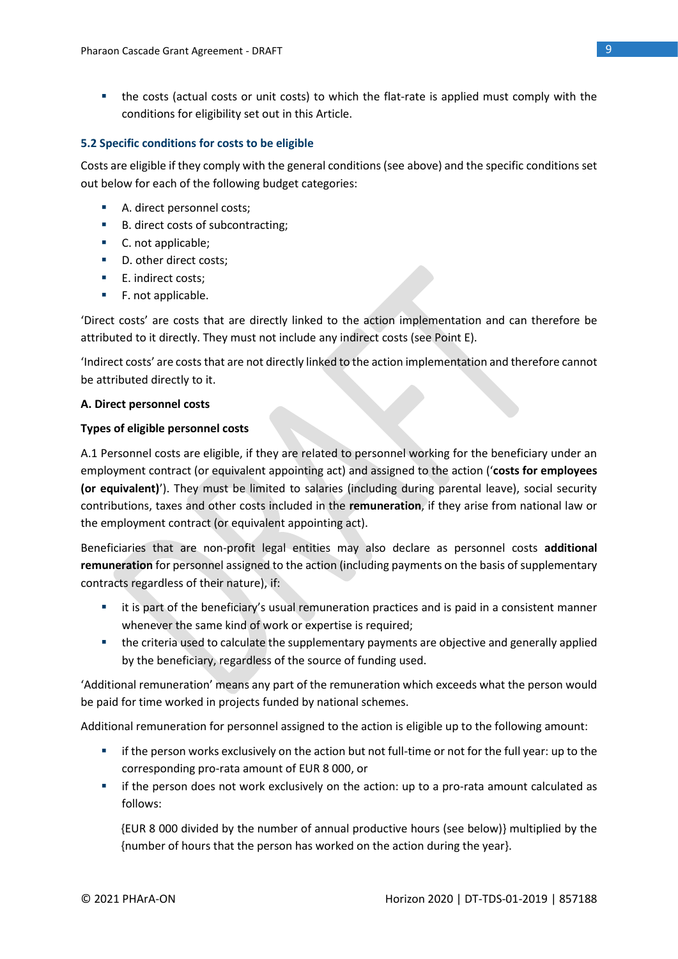■ the costs (actual costs or unit costs) to which the flat-rate is applied must comply with the conditions for eligibility set out in this Article.

### **5.2 Specific conditions for costs to be eligible**

Costs are eligible if they comply with the general conditions (see above) and the specific conditions set out below for each of the following budget categories:

- A. direct personnel costs;
- B. direct costs of subcontracting;
- C. not applicable;
- D. other direct costs;
- E. indirect costs:
- F. not applicable.

'Direct costs' are costs that are directly linked to the action implementation and can therefore be attributed to it directly. They must not include any indirect costs (see Point E).

'Indirect costs' are costs that are not directly linked to the action implementation and therefore cannot be attributed directly to it.

### **A. Direct personnel costs**

### **Types of eligible personnel costs**

A.1 Personnel costs are eligible, if they are related to personnel working for the beneficiary under an employment contract (or equivalent appointing act) and assigned to the action ('**costs for employees (or equivalent)**'). They must be limited to salaries (including during parental leave), social security contributions, taxes and other costs included in the **remuneration**, if they arise from national law or the employment contract (or equivalent appointing act).

Beneficiaries that are non-profit legal entities may also declare as personnel costs **additional remuneration** for personnel assigned to the action (including payments on the basis of supplementary contracts regardless of their nature), if:

- it is part of the beneficiary's usual remuneration practices and is paid in a consistent manner whenever the same kind of work or expertise is required;
- the criteria used to calculate the supplementary payments are objective and generally applied by the beneficiary, regardless of the source of funding used.

'Additional remuneration' means any part of the remuneration which exceeds what the person would be paid for time worked in projects funded by national schemes.

Additional remuneration for personnel assigned to the action is eligible up to the following amount:

- **•** if the person works exclusively on the action but not full-time or not for the full year: up to the corresponding pro-rata amount of EUR 8 000, or
- **■** if the person does not work exclusively on the action: up to a pro-rata amount calculated as follows:

{EUR 8 000 divided by the number of annual productive hours (see below)} multiplied by the {number of hours that the person has worked on the action during the year}.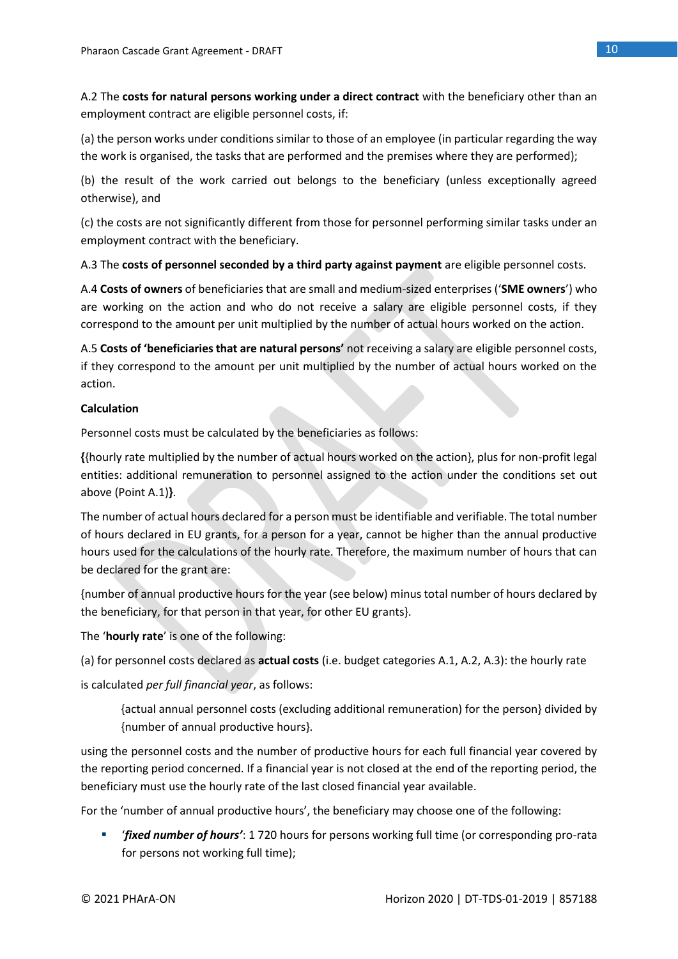A.2 The **costs for natural persons working under a direct contract** with the beneficiary other than an employment contract are eligible personnel costs, if:

(a) the person works under conditions similar to those of an employee (in particular regarding the way the work is organised, the tasks that are performed and the premises where they are performed);

(b) the result of the work carried out belongs to the beneficiary (unless exceptionally agreed otherwise), and

(c) the costs are not significantly different from those for personnel performing similar tasks under an employment contract with the beneficiary.

A.3 The **costs of personnel seconded by a third party against payment** are eligible personnel costs.

A.4 **Costs of owners** of beneficiaries that are small and medium-sized enterprises ('**SME owners**') who are working on the action and who do not receive a salary are eligible personnel costs, if they correspond to the amount per unit multiplied by the number of actual hours worked on the action.

A.5 **Costs of 'beneficiaries that are natural persons'** not receiving a salary are eligible personnel costs, if they correspond to the amount per unit multiplied by the number of actual hours worked on the action.

### **Calculation**

Personnel costs must be calculated by the beneficiaries as follows:

**{**{hourly rate multiplied by the number of actual hours worked on the action}, plus for non-profit legal entities: additional remuneration to personnel assigned to the action under the conditions set out above (Point A.1)**}**.

The number of actual hours declared for a person must be identifiable and verifiable. The total number of hours declared in EU grants, for a person for a year, cannot be higher than the annual productive hours used for the calculations of the hourly rate. Therefore, the maximum number of hours that can be declared for the grant are:

{number of annual productive hours for the year (see below) minus total number of hours declared by the beneficiary, for that person in that year, for other EU grants}.

The '**hourly rate**' is one of the following:

(a) for personnel costs declared as **actual costs** (i.e. budget categories A.1, A.2, A.3): the hourly rate

is calculated *per full financial year*, as follows:

{actual annual personnel costs (excluding additional remuneration) for the person} divided by {number of annual productive hours}.

using the personnel costs and the number of productive hours for each full financial year covered by the reporting period concerned. If a financial year is not closed at the end of the reporting period, the beneficiary must use the hourly rate of the last closed financial year available.

For the 'number of annual productive hours', the beneficiary may choose one of the following:

*'fixed number of hours'*: 1 720 hours for persons working full time (or corresponding pro-rata for persons not working full time);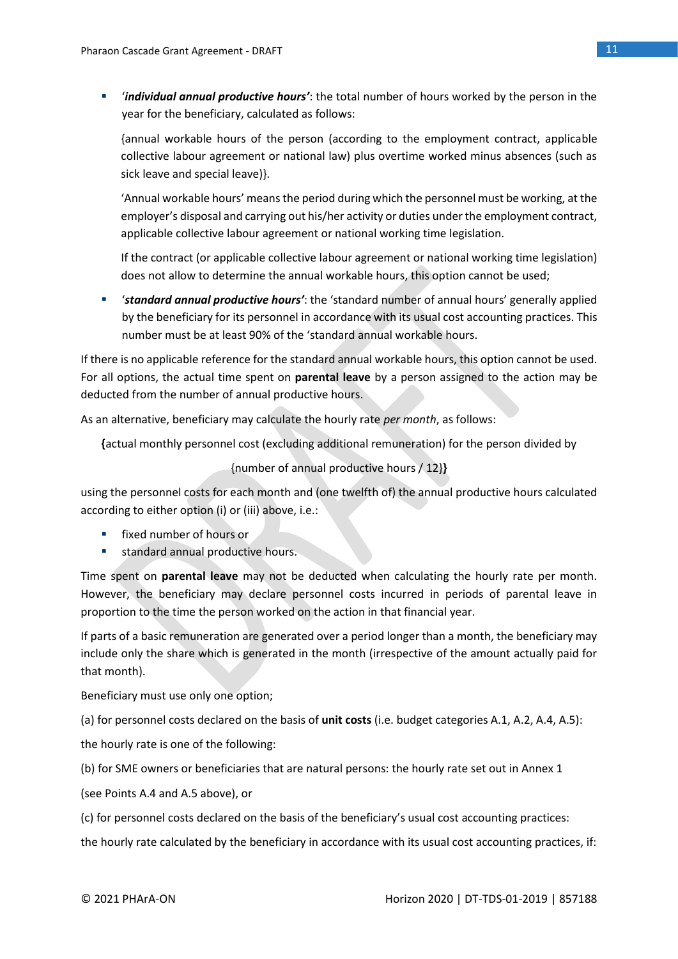▪ '*individual annual productive hours'*: the total number of hours worked by the person in the year for the beneficiary, calculated as follows:

{annual workable hours of the person (according to the employment contract, applicable collective labour agreement or national law) plus overtime worked minus absences (such as sick leave and special leave)}.

'Annual workable hours' means the period during which the personnel must be working, at the employer's disposal and carrying out his/her activity or duties under the employment contract, applicable collective labour agreement or national working time legislation.

If the contract (or applicable collective labour agreement or national working time legislation) does not allow to determine the annual workable hours, this option cannot be used;

▪ '*standard annual productive hours'*: the 'standard number of annual hours' generally applied by the beneficiary for its personnel in accordance with its usual cost accounting practices. This number must be at least 90% of the 'standard annual workable hours.

If there is no applicable reference for the standard annual workable hours, this option cannot be used. For all options, the actual time spent on **parental leave** by a person assigned to the action may be deducted from the number of annual productive hours.

As an alternative, beneficiary may calculate the hourly rate *per month*, as follows:

**{**actual monthly personnel cost (excluding additional remuneration) for the person divided by

{number of annual productive hours / 12}**}**

using the personnel costs for each month and (one twelfth of) the annual productive hours calculated according to either option (i) or (iii) above, i.e.:

- fixed number of hours or
- standard annual productive hours.

Time spent on **parental leave** may not be deducted when calculating the hourly rate per month. However, the beneficiary may declare personnel costs incurred in periods of parental leave in proportion to the time the person worked on the action in that financial year.

If parts of a basic remuneration are generated over a period longer than a month, the beneficiary may include only the share which is generated in the month (irrespective of the amount actually paid for that month).

Beneficiary must use only one option;

(a) for personnel costs declared on the basis of **unit costs** (i.e. budget categories A.1, A.2, A.4, A.5):

the hourly rate is one of the following:

(b) for SME owners or beneficiaries that are natural persons: the hourly rate set out in Annex 1

(see Points A.4 and A.5 above), or

(c) for personnel costs declared on the basis of the beneficiary's usual cost accounting practices:

the hourly rate calculated by the beneficiary in accordance with its usual cost accounting practices, if: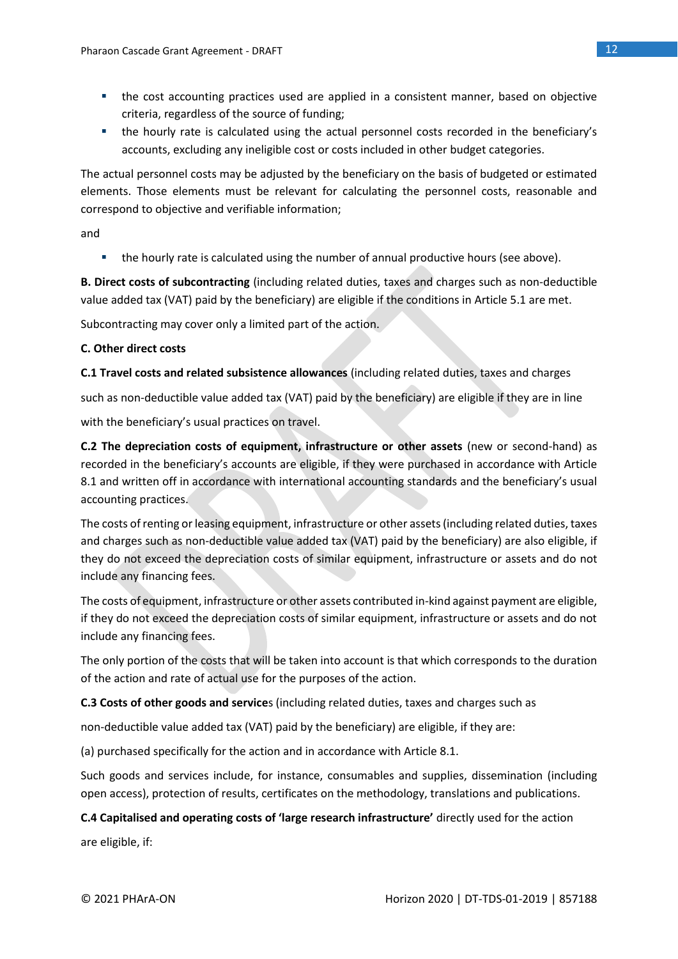- the cost accounting practices used are applied in a consistent manner, based on objective criteria, regardless of the source of funding;
- the hourly rate is calculated using the actual personnel costs recorded in the beneficiary's accounts, excluding any ineligible cost or costs included in other budget categories.

The actual personnel costs may be adjusted by the beneficiary on the basis of budgeted or estimated elements. Those elements must be relevant for calculating the personnel costs, reasonable and correspond to objective and verifiable information;

and

■ the hourly rate is calculated using the number of annual productive hours (see above).

**B. Direct costs of subcontracting** (including related duties, taxes and charges such as non-deductible value added tax (VAT) paid by the beneficiary) are eligible if the conditions in Article 5.1 are met.

Subcontracting may cover only a limited part of the action.

### **C. Other direct costs**

**C.1 Travel costs and related subsistence allowances** (including related duties, taxes and charges

such as non-deductible value added tax (VAT) paid by the beneficiary) are eligible if they are in line

with the beneficiary's usual practices on travel.

**C.2 The depreciation costs of equipment, infrastructure or other assets** (new or second-hand) as recorded in the beneficiary's accounts are eligible, if they were purchased in accordance with Article 8.1 and written off in accordance with international accounting standards and the beneficiary's usual accounting practices.

The costs of renting or leasing equipment, infrastructure or other assets (including related duties, taxes and charges such as non-deductible value added tax (VAT) paid by the beneficiary) are also eligible, if they do not exceed the depreciation costs of similar equipment, infrastructure or assets and do not include any financing fees.

The costs of equipment, infrastructure or other assets contributed in-kind against payment are eligible, if they do not exceed the depreciation costs of similar equipment, infrastructure or assets and do not include any financing fees.

The only portion of the costs that will be taken into account is that which corresponds to the duration of the action and rate of actual use for the purposes of the action.

**C.3 Costs of other goods and service**s (including related duties, taxes and charges such as

non-deductible value added tax (VAT) paid by the beneficiary) are eligible, if they are:

(a) purchased specifically for the action and in accordance with Article 8.1.

Such goods and services include, for instance, consumables and supplies, dissemination (including open access), protection of results, certificates on the methodology, translations and publications.

### **C.4 Capitalised and operating costs of 'large research infrastructure'** directly used for the action

are eligible, if: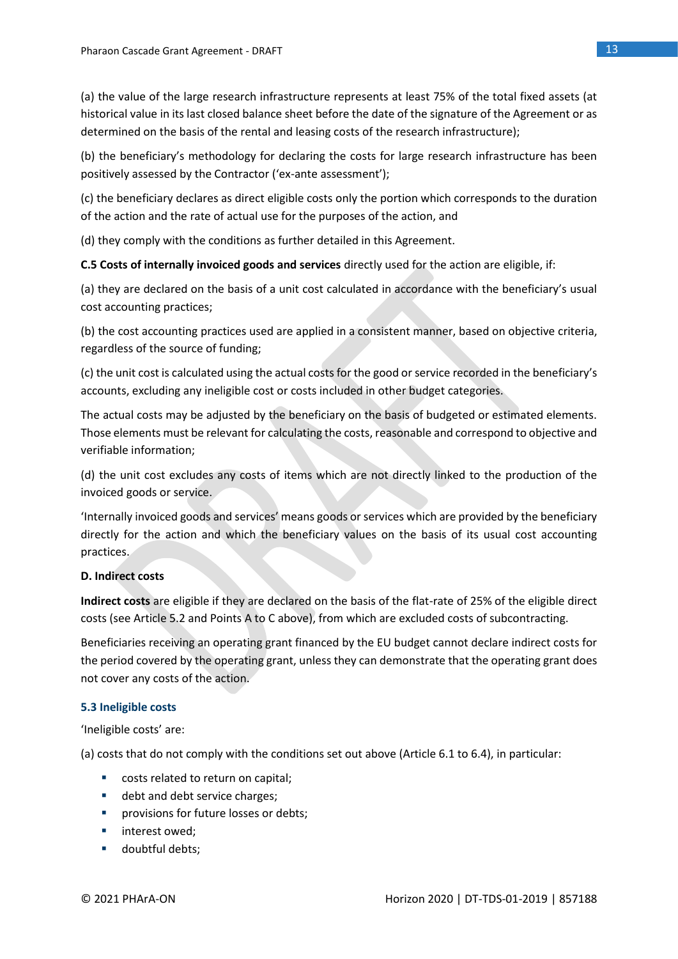(a) the value of the large research infrastructure represents at least 75% of the total fixed assets (at historical value in its last closed balance sheet before the date of the signature of the Agreement or as determined on the basis of the rental and leasing costs of the research infrastructure);

(b) the beneficiary's methodology for declaring the costs for large research infrastructure has been positively assessed by the Contractor ('ex-ante assessment');

(c) the beneficiary declares as direct eligible costs only the portion which corresponds to the duration of the action and the rate of actual use for the purposes of the action, and

(d) they comply with the conditions as further detailed in this Agreement.

**C.5 Costs of internally invoiced goods and services** directly used for the action are eligible, if:

(a) they are declared on the basis of a unit cost calculated in accordance with the beneficiary's usual cost accounting practices;

(b) the cost accounting practices used are applied in a consistent manner, based on objective criteria, regardless of the source of funding;

(c) the unit cost is calculated using the actual costs for the good or service recorded in the beneficiary's accounts, excluding any ineligible cost or costs included in other budget categories.

The actual costs may be adjusted by the beneficiary on the basis of budgeted or estimated elements. Those elements must be relevant for calculating the costs, reasonable and correspond to objective and verifiable information;

(d) the unit cost excludes any costs of items which are not directly linked to the production of the invoiced goods or service.

'Internally invoiced goods and services' means goods or services which are provided by the beneficiary directly for the action and which the beneficiary values on the basis of its usual cost accounting practices.

### **D. Indirect costs**

**Indirect costs** are eligible if they are declared on the basis of the flat-rate of 25% of the eligible direct costs (see Article 5.2 and Points A to C above), from which are excluded costs of subcontracting.

Beneficiaries receiving an operating grant financed by the EU budget cannot declare indirect costs for the period covered by the operating grant, unless they can demonstrate that the operating grant does not cover any costs of the action.

### **5.3 Ineligible costs**

'Ineligible costs' are:

(a) costs that do not comply with the conditions set out above (Article 6.1 to 6.4), in particular:

- costs related to return on capital;
- debt and debt service charges;
- **■** provisions for future losses or debts;
- interest owed:
- doubtful debts;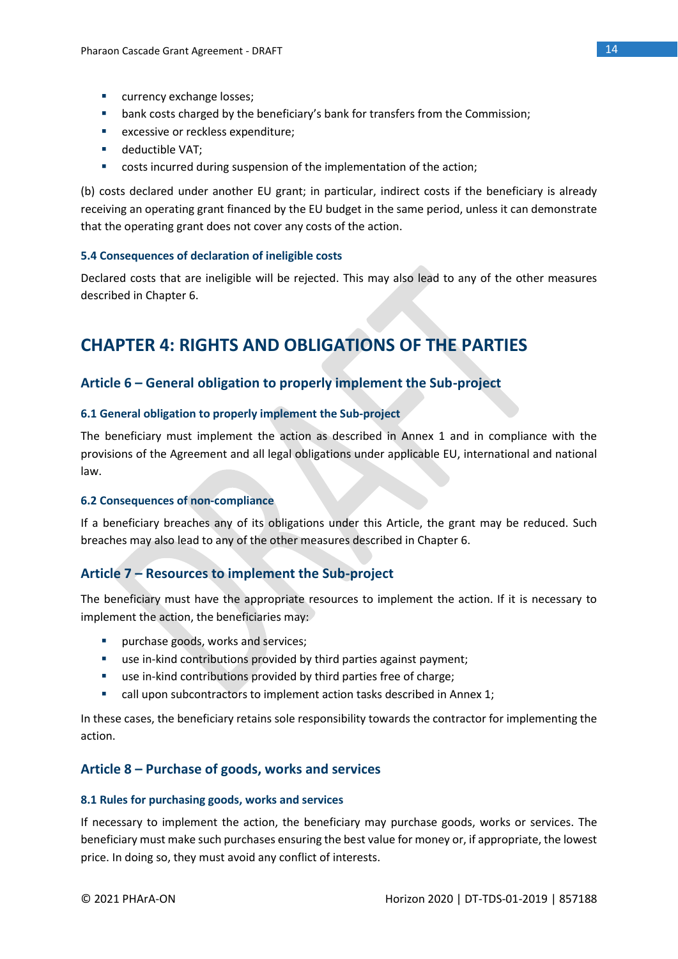- currency exchange losses;
- bank costs charged by the beneficiary's bank for transfers from the Commission;
- excessive or reckless expenditure;
- deductible VAT;
- costs incurred during suspension of the implementation of the action;

(b) costs declared under another EU grant; in particular, indirect costs if the beneficiary is already receiving an operating grant financed by the EU budget in the same period, unless it can demonstrate that the operating grant does not cover any costs of the action.

### **5.4 Consequences of declaration of ineligible costs**

Declared costs that are ineligible will be rejected. This may also lead to any of the other measures described in Chapter 6.

# **CHAPTER 4: RIGHTS AND OBLIGATIONS OF THE PARTIES**

### **Article 6 – General obligation to properly implement the Sub-project**

### **6.1 General obligation to properly implement the Sub-project**

The beneficiary must implement the action as described in Annex 1 and in compliance with the provisions of the Agreement and all legal obligations under applicable EU, international and national law.

### **6.2 Consequences of non-compliance**

If a beneficiary breaches any of its obligations under this Article, the grant may be reduced. Such breaches may also lead to any of the other measures described in Chapter 6.

### **Article 7 – Resources to implement the Sub-project**

The beneficiary must have the appropriate resources to implement the action. If it is necessary to implement the action, the beneficiaries may:

- **•** purchase goods, works and services;
- use in-kind contributions provided by third parties against payment;
- use in-kind contributions provided by third parties free of charge;
- call upon subcontractors to implement action tasks described in Annex 1;

In these cases, the beneficiary retains sole responsibility towards the contractor for implementing the action.

### **Article 8 – Purchase of goods, works and services**

### **8.1 Rules for purchasing goods, works and services**

If necessary to implement the action, the beneficiary may purchase goods, works or services. The beneficiary must make such purchases ensuring the best value for money or, if appropriate, the lowest price. In doing so, they must avoid any conflict of interests.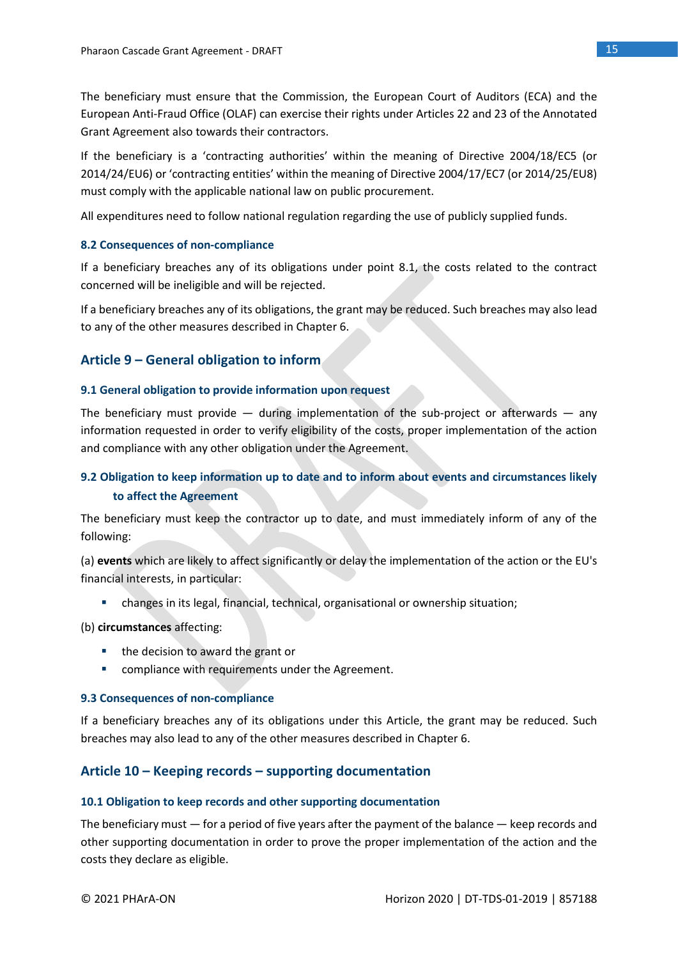The beneficiary must ensure that the Commission, the European Court of Auditors (ECA) and the European Anti-Fraud Office (OLAF) can exercise their rights under Articles 22 and 23 of the Annotated Grant Agreement also towards their contractors.

If the beneficiary is a 'contracting authorities' within the meaning of Directive 2004/18/EC5 (or 2014/24/EU6) or 'contracting entities' within the meaning of Directive 2004/17/EC7 (or 2014/25/EU8) must comply with the applicable national law on public procurement.

All expenditures need to follow national regulation regarding the use of publicly supplied funds.

### **8.2 Consequences of non-compliance**

If a beneficiary breaches any of its obligations under point 8.1, the costs related to the contract concerned will be ineligible and will be rejected.

If a beneficiary breaches any of its obligations, the grant may be reduced. Such breaches may also lead to any of the other measures described in Chapter 6.

### **Article 9 – General obligation to inform**

### **9.1 General obligation to provide information upon request**

The beneficiary must provide  $-$  during implementation of the sub-project or afterwards  $-$  any information requested in order to verify eligibility of the costs, proper implementation of the action and compliance with any other obligation under the Agreement.

### **9.2 Obligation to keep information up to date and to inform about events and circumstances likely to affect the Agreement**

The beneficiary must keep the contractor up to date, and must immediately inform of any of the following:

(a) **events** which are likely to affect significantly or delay the implementation of the action or the EU's financial interests, in particular:

▪ changes in its legal, financial, technical, organisational or ownership situation;

### (b) **circumstances** affecting:

- the decision to award the grant or
- compliance with requirements under the Agreement.

### **9.3 Consequences of non-compliance**

If a beneficiary breaches any of its obligations under this Article, the grant may be reduced. Such breaches may also lead to any of the other measures described in Chapter 6.

### **Article 10 – Keeping records – supporting documentation**

### **10.1 Obligation to keep records and other supporting documentation**

The beneficiary must — for a period of five years after the payment of the balance — keep records and other supporting documentation in order to prove the proper implementation of the action and the costs they declare as eligible.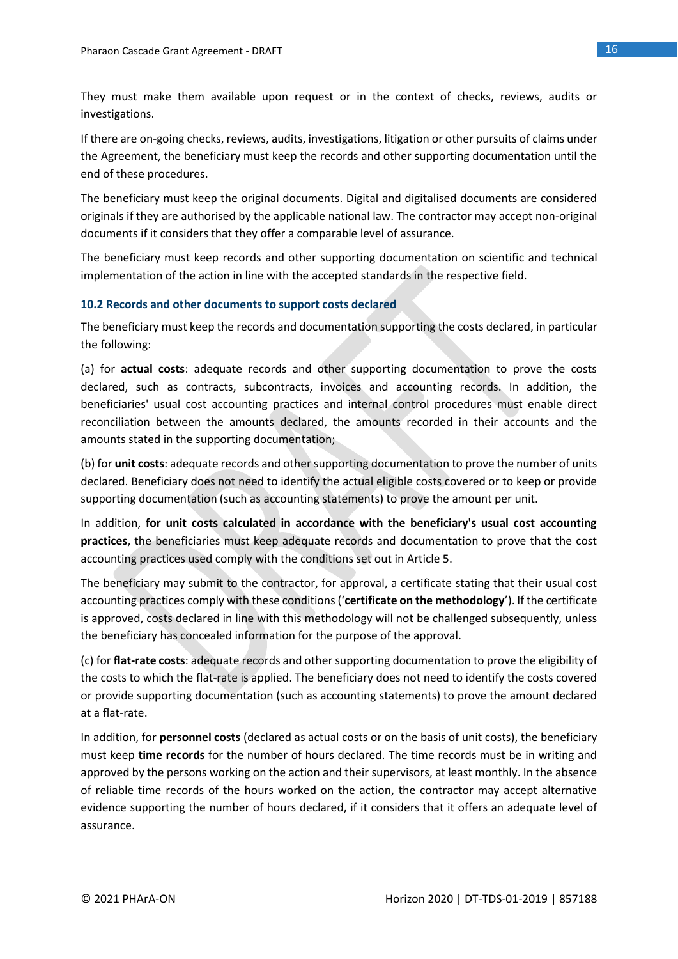They must make them available upon request or in the context of checks, reviews, audits or investigations.

If there are on-going checks, reviews, audits, investigations, litigation or other pursuits of claims under the Agreement, the beneficiary must keep the records and other supporting documentation until the end of these procedures.

The beneficiary must keep the original documents. Digital and digitalised documents are considered originals if they are authorised by the applicable national law. The contractor may accept non-original documents if it considers that they offer a comparable level of assurance.

The beneficiary must keep records and other supporting documentation on scientific and technical implementation of the action in line with the accepted standards in the respective field.

### **10.2 Records and other documents to support costs declared**

The beneficiary must keep the records and documentation supporting the costs declared, in particular the following:

(a) for **actual costs**: adequate records and other supporting documentation to prove the costs declared, such as contracts, subcontracts, invoices and accounting records. In addition, the beneficiaries' usual cost accounting practices and internal control procedures must enable direct reconciliation between the amounts declared, the amounts recorded in their accounts and the amounts stated in the supporting documentation;

(b) for **unit costs**: adequate records and other supporting documentation to prove the number of units declared. Beneficiary does not need to identify the actual eligible costs covered or to keep or provide supporting documentation (such as accounting statements) to prove the amount per unit.

In addition, **for unit costs calculated in accordance with the beneficiary's usual cost accounting practices**, the beneficiaries must keep adequate records and documentation to prove that the cost accounting practices used comply with the conditions set out in Article 5.

The beneficiary may submit to the contractor, for approval, a certificate stating that their usual cost accounting practices comply with these conditions ('**certificate on the methodology**'). If the certificate is approved, costs declared in line with this methodology will not be challenged subsequently, unless the beneficiary has concealed information for the purpose of the approval.

(c) for **flat-rate costs**: adequate records and other supporting documentation to prove the eligibility of the costs to which the flat-rate is applied. The beneficiary does not need to identify the costs covered or provide supporting documentation (such as accounting statements) to prove the amount declared at a flat-rate.

In addition, for **personnel costs** (declared as actual costs or on the basis of unit costs), the beneficiary must keep **time records** for the number of hours declared. The time records must be in writing and approved by the persons working on the action and their supervisors, at least monthly. In the absence of reliable time records of the hours worked on the action, the contractor may accept alternative evidence supporting the number of hours declared, if it considers that it offers an adequate level of assurance.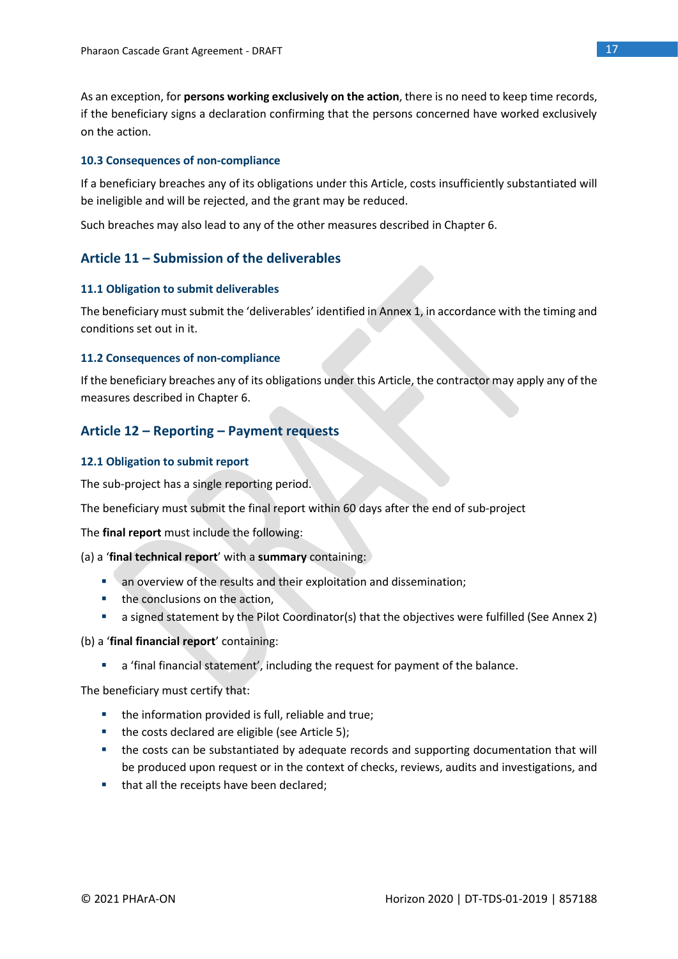As an exception, for **persons working exclusively on the action**, there is no need to keep time records, if the beneficiary signs a declaration confirming that the persons concerned have worked exclusively on the action.

### **10.3 Consequences of non-compliance**

If a beneficiary breaches any of its obligations under this Article, costs insufficiently substantiated will be ineligible and will be rejected, and the grant may be reduced.

Such breaches may also lead to any of the other measures described in Chapter 6.

### **Article 11 – Submission of the deliverables**

### **11.1 Obligation to submit deliverables**

The beneficiary must submit the 'deliverables' identified in Annex 1, in accordance with the timing and conditions set out in it.

### **11.2 Consequences of non-compliance**

If the beneficiary breaches any of its obligations under this Article, the contractor may apply any of the measures described in Chapter 6.

### **Article 12 – Reporting – Payment requests**

### **12.1 Obligation to submit report**

The sub-project has a single reporting period.

The beneficiary must submit the final report within 60 days after the end of sub-project

The **final report** must include the following:

(a) a '**final technical report**' with a **summary** containing:

- an overview of the results and their exploitation and dissemination;
- the conclusions on the action,
- a signed statement by the Pilot Coordinator(s) that the objectives were fulfilled (See Annex 2)

(b) a '**final financial report**' containing:

■ a 'final financial statement', including the request for payment of the balance.

The beneficiary must certify that:

- the information provided is full, reliable and true;
- the costs declared are eligible (see Article 5);
- the costs can be substantiated by adequate records and supporting documentation that will be produced upon request or in the context of checks, reviews, audits and investigations, and
- that all the receipts have been declared;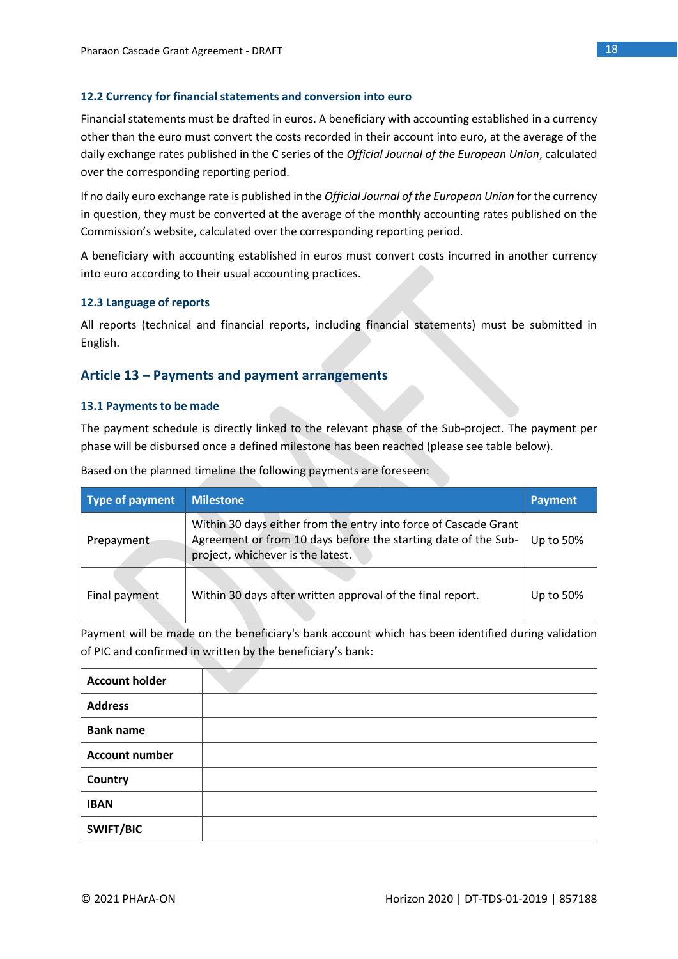### **12.2 Currency for financial statements and conversion into euro**

Financial statements must be drafted in euros. A beneficiary with accounting established in a currency other than the euro must convert the costs recorded in their account into euro, at the average of the daily exchange rates published in the C series of the *Official Journal of the European Union*, calculated over the corresponding reporting period.

If no daily euro exchange rate is published in the *Official Journal of the European Union* for the currency in question, they must be converted at the average of the monthly accounting rates published on the Commission's website, calculated over the corresponding reporting period.

A beneficiary with accounting established in euros must convert costs incurred in another currency into euro according to their usual accounting practices.

### **12.3 Language of reports**

All reports (technical and financial reports, including financial statements) must be submitted in English.

### **Article 13 – Payments and payment arrangements**

### **13.1 Payments to be made**

The payment schedule is directly linked to the relevant phase of the Sub-project. The payment per phase will be disbursed once a defined milestone has been reached (please see table below).

| Type of payment | <b>Milestone</b>                                                                                                                                                        | <b>Payment</b> |
|-----------------|-------------------------------------------------------------------------------------------------------------------------------------------------------------------------|----------------|
| Prepayment      | Within 30 days either from the entry into force of Cascade Grant<br>Agreement or from 10 days before the starting date of the Sub-<br>project, whichever is the latest. | Up to 50%      |
| Final payment   | Within 30 days after written approval of the final report.                                                                                                              | Up to 50%      |

Based on the planned timeline the following payments are foreseen:

Payment will be made on the beneficiary's bank account which has been identified during validation of PIC and confirmed in written by the beneficiary's bank:

| <b>Account holder</b> |  |
|-----------------------|--|
| <b>Address</b>        |  |
| <b>Bank name</b>      |  |
| <b>Account number</b> |  |
| Country               |  |
| <b>IBAN</b>           |  |
| <b>SWIFT/BIC</b>      |  |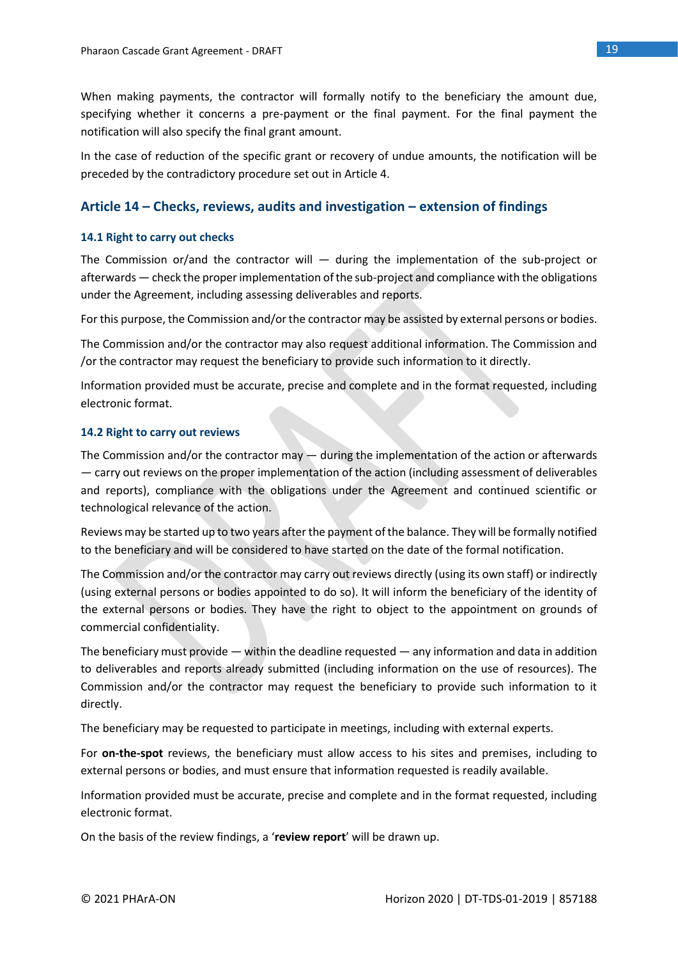When making payments, the contractor will formally notify to the beneficiary the amount due, specifying whether it concerns a pre-payment or the final payment. For the final payment the notification will also specify the final grant amount.

In the case of reduction of the specific grant or recovery of undue amounts, the notification will be preceded by the contradictory procedure set out in Article 4.

### **Article 14 – Checks, reviews, audits and investigation – extension of findings**

### **14.1 Right to carry out checks**

The Commission or/and the contractor will  $-$  during the implementation of the sub-project or afterwards — check the proper implementation of the sub-project and compliance with the obligations under the Agreement, including assessing deliverables and reports.

For this purpose, the Commission and/or the contractor may be assisted by external persons or bodies.

The Commission and/or the contractor may also request additional information. The Commission and /or the contractor may request the beneficiary to provide such information to it directly.

Information provided must be accurate, precise and complete and in the format requested, including electronic format.

### **14.2 Right to carry out reviews**

The Commission and/or the contractor may  $-$  during the implementation of the action or afterwards — carry out reviews on the proper implementation of the action (including assessment of deliverables and reports), compliance with the obligations under the Agreement and continued scientific or technological relevance of the action.

Reviews may be started up to two years after the payment of the balance. They will be formally notified to the beneficiary and will be considered to have started on the date of the formal notification.

The Commission and/or the contractor may carry out reviews directly (using its own staff) or indirectly (using external persons or bodies appointed to do so). It will inform the beneficiary of the identity of the external persons or bodies. They have the right to object to the appointment on grounds of commercial confidentiality.

The beneficiary must provide — within the deadline requested — any information and data in addition to deliverables and reports already submitted (including information on the use of resources). The Commission and/or the contractor may request the beneficiary to provide such information to it directly.

The beneficiary may be requested to participate in meetings, including with external experts.

For **on-the-spot** reviews, the beneficiary must allow access to his sites and premises, including to external persons or bodies, and must ensure that information requested is readily available.

Information provided must be accurate, precise and complete and in the format requested, including electronic format.

On the basis of the review findings, a '**review report**' will be drawn up.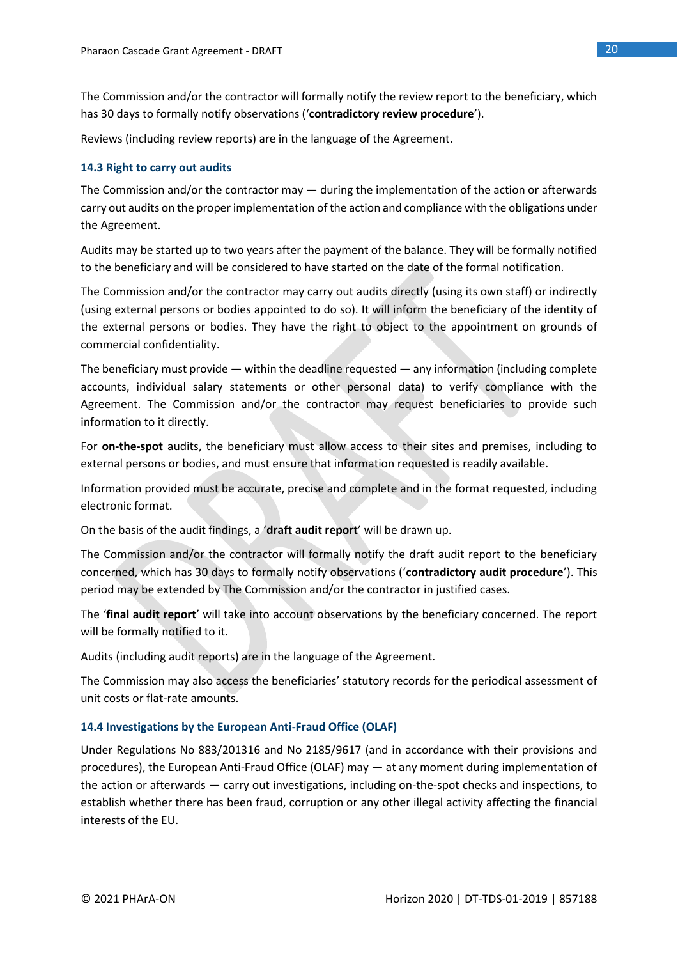The Commission and/or the contractor will formally notify the review report to the beneficiary, which has 30 days to formally notify observations ('**contradictory review procedure**').

Reviews (including review reports) are in the language of the Agreement.

### **14.3 Right to carry out audits**

The Commission and/or the contractor may  $-$  during the implementation of the action or afterwards carry out audits on the proper implementation of the action and compliance with the obligations under the Agreement.

Audits may be started up to two years after the payment of the balance. They will be formally notified to the beneficiary and will be considered to have started on the date of the formal notification.

The Commission and/or the contractor may carry out audits directly (using its own staff) or indirectly (using external persons or bodies appointed to do so). It will inform the beneficiary of the identity of the external persons or bodies. They have the right to object to the appointment on grounds of commercial confidentiality.

The beneficiary must provide — within the deadline requested — any information (including complete accounts, individual salary statements or other personal data) to verify compliance with the Agreement. The Commission and/or the contractor may request beneficiaries to provide such information to it directly.

For **on-the-spot** audits, the beneficiary must allow access to their sites and premises, including to external persons or bodies, and must ensure that information requested is readily available.

Information provided must be accurate, precise and complete and in the format requested, including electronic format.

On the basis of the audit findings, a '**draft audit report**' will be drawn up.

The Commission and/or the contractor will formally notify the draft audit report to the beneficiary concerned, which has 30 days to formally notify observations ('**contradictory audit procedure**'). This period may be extended by The Commission and/or the contractor in justified cases.

The '**final audit report**' will take into account observations by the beneficiary concerned. The report will be formally notified to it.

Audits (including audit reports) are in the language of the Agreement.

The Commission may also access the beneficiaries' statutory records for the periodical assessment of unit costs or flat-rate amounts.

### **14.4 Investigations by the European Anti-Fraud Office (OLAF)**

Under Regulations No 883/201316 and No 2185/9617 (and in accordance with their provisions and procedures), the European Anti-Fraud Office (OLAF) may — at any moment during implementation of the action or afterwards — carry out investigations, including on-the-spot checks and inspections, to establish whether there has been fraud, corruption or any other illegal activity affecting the financial interests of the EU.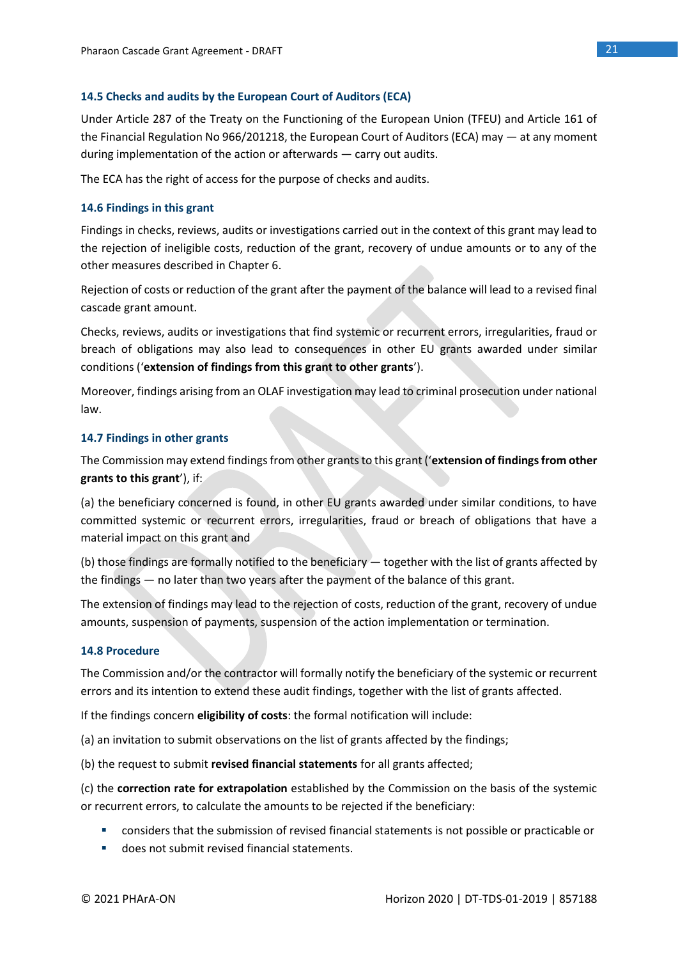### **14.5 Checks and audits by the European Court of Auditors (ECA)**

Under Article 287 of the Treaty on the Functioning of the European Union (TFEU) and Article 161 of the Financial Regulation No 966/201218, the European Court of Auditors (ECA) may — at any moment during implementation of the action or afterwards — carry out audits.

The ECA has the right of access for the purpose of checks and audits.

### **14.6 Findings in this grant**

Findings in checks, reviews, audits or investigations carried out in the context of this grant may lead to the rejection of ineligible costs, reduction of the grant, recovery of undue amounts or to any of the other measures described in Chapter 6.

Rejection of costs or reduction of the grant after the payment of the balance will lead to a revised final cascade grant amount.

Checks, reviews, audits or investigations that find systemic or recurrent errors, irregularities, fraud or breach of obligations may also lead to consequences in other EU grants awarded under similar conditions ('**extension of findings from this grant to other grants**').

Moreover, findings arising from an OLAF investigation may lead to criminal prosecution under national law.

### **14.7 Findings in other grants**

The Commission may extend findings from other grants to this grant ('**extension of findings from other grants to this grant**'), if:

(a) the beneficiary concerned is found, in other EU grants awarded under similar conditions, to have committed systemic or recurrent errors, irregularities, fraud or breach of obligations that have a material impact on this grant and

(b) those findings are formally notified to the beneficiary — together with the list of grants affected by the findings — no later than two years after the payment of the balance of this grant.

The extension of findings may lead to the rejection of costs, reduction of the grant, recovery of undue amounts, suspension of payments, suspension of the action implementation or termination.

### **14.8 Procedure**

The Commission and/or the contractor will formally notify the beneficiary of the systemic or recurrent errors and its intention to extend these audit findings, together with the list of grants affected.

If the findings concern **eligibility of costs**: the formal notification will include:

(a) an invitation to submit observations on the list of grants affected by the findings;

(b) the request to submit **revised financial statements** for all grants affected;

(c) the **correction rate for extrapolation** established by the Commission on the basis of the systemic or recurrent errors, to calculate the amounts to be rejected if the beneficiary:

- considers that the submission of revised financial statements is not possible or practicable or
- does not submit revised financial statements.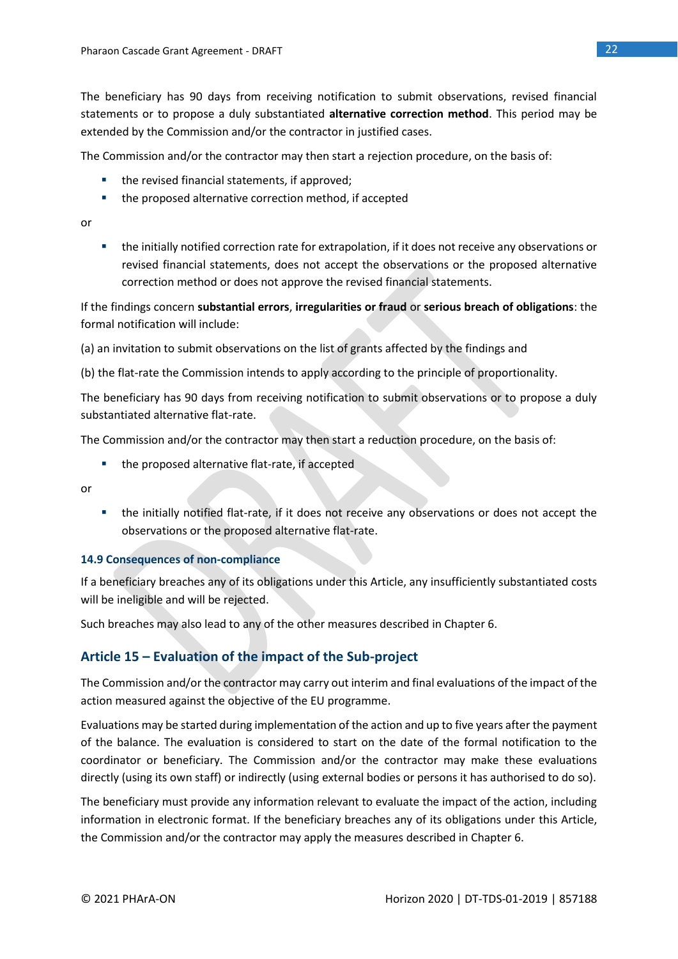The beneficiary has 90 days from receiving notification to submit observations, revised financial statements or to propose a duly substantiated **alternative correction method**. This period may be extended by the Commission and/or the contractor in justified cases.

The Commission and/or the contractor may then start a rejection procedure, on the basis of:

- the revised financial statements, if approved;
- the proposed alternative correction method, if accepted

or

■ the initially notified correction rate for extrapolation, if it does not receive any observations or revised financial statements, does not accept the observations or the proposed alternative correction method or does not approve the revised financial statements.

If the findings concern **substantial errors**, **irregularities or fraud** or **serious breach of obligations**: the formal notification will include:

(a) an invitation to submit observations on the list of grants affected by the findings and

(b) the flat-rate the Commission intends to apply according to the principle of proportionality.

The beneficiary has 90 days from receiving notification to submit observations or to propose a duly substantiated alternative flat-rate.

The Commission and/or the contractor may then start a reduction procedure, on the basis of:

■ the proposed alternative flat-rate, if accepted

or

■ the initially notified flat-rate, if it does not receive any observations or does not accept the observations or the proposed alternative flat-rate.

### **14.9 Consequences of non-compliance**

If a beneficiary breaches any of its obligations under this Article, any insufficiently substantiated costs will be ineligible and will be rejected.

Such breaches may also lead to any of the other measures described in Chapter 6.

### **Article 15 – Evaluation of the impact of the Sub-project**

The Commission and/or the contractor may carry out interim and final evaluations of the impact of the action measured against the objective of the EU programme.

Evaluations may be started during implementation of the action and up to five years after the payment of the balance. The evaluation is considered to start on the date of the formal notification to the coordinator or beneficiary. The Commission and/or the contractor may make these evaluations directly (using its own staff) or indirectly (using external bodies or persons it has authorised to do so).

The beneficiary must provide any information relevant to evaluate the impact of the action, including information in electronic format. If the beneficiary breaches any of its obligations under this Article, the Commission and/or the contractor may apply the measures described in Chapter 6.

22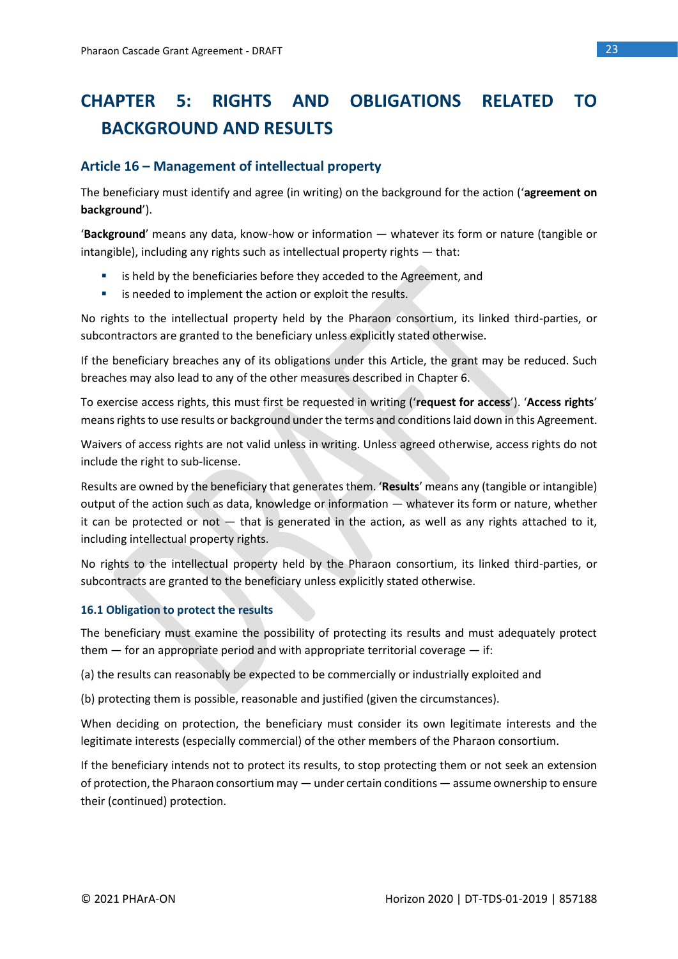# **CHAPTER 5: RIGHTS AND OBLIGATIONS RELATED TO BACKGROUND AND RESULTS**

### **Article 16 – Management of intellectual property**

The beneficiary must identify and agree (in writing) on the background for the action ('**agreement on background**').

'**Background**' means any data, know-how or information — whatever its form or nature (tangible or intangible), including any rights such as intellectual property rights — that:

- is held by the beneficiaries before they acceded to the Agreement, and
- is needed to implement the action or exploit the results.

No rights to the intellectual property held by the Pharaon consortium, its linked third-parties, or subcontractors are granted to the beneficiary unless explicitly stated otherwise.

If the beneficiary breaches any of its obligations under this Article, the grant may be reduced. Such breaches may also lead to any of the other measures described in Chapter 6.

To exercise access rights, this must first be requested in writing ('**request for access**'). '**Access rights**' means rights to use results or background under the terms and conditions laid down in this Agreement.

Waivers of access rights are not valid unless in writing. Unless agreed otherwise, access rights do not include the right to sub-license.

Results are owned by the beneficiary that generates them. '**Results**' means any (tangible or intangible) output of the action such as data, knowledge or information — whatever its form or nature, whether it can be protected or not  $-$  that is generated in the action, as well as any rights attached to it, including intellectual property rights.

No rights to the intellectual property held by the Pharaon consortium, its linked third-parties, or subcontracts are granted to the beneficiary unless explicitly stated otherwise.

### **16.1 Obligation to protect the results**

The beneficiary must examine the possibility of protecting its results and must adequately protect them  $-$  for an appropriate period and with appropriate territorial coverage  $-$  if:

(a) the results can reasonably be expected to be commercially or industrially exploited and

(b) protecting them is possible, reasonable and justified (given the circumstances).

When deciding on protection, the beneficiary must consider its own legitimate interests and the legitimate interests (especially commercial) of the other members of the Pharaon consortium.

If the beneficiary intends not to protect its results, to stop protecting them or not seek an extension of protection, the Pharaon consortium may — under certain conditions — assume ownership to ensure their (continued) protection.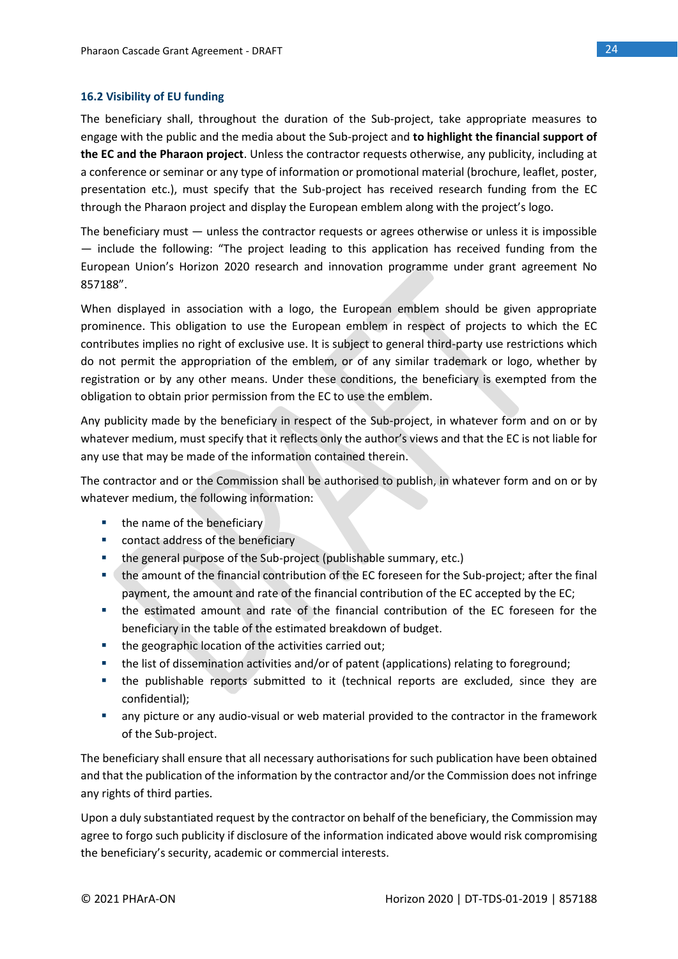### **16.2 Visibility of EU funding**

The beneficiary shall, throughout the duration of the Sub-project, take appropriate measures to engage with the public and the media about the Sub-project and **to highlight the financial support of the EC and the Pharaon project**. Unless the contractor requests otherwise, any publicity, including at a conference or seminar or any type of information or promotional material (brochure, leaflet, poster, presentation etc.), must specify that the Sub-project has received research funding from the EC through the Pharaon project and display the European emblem along with the project's logo.

The beneficiary must — unless the contractor requests or agrees otherwise or unless it is impossible — include the following: "The project leading to this application has received funding from the European Union's Horizon 2020 research and innovation programme under grant agreement No 857188".

When displayed in association with a logo, the European emblem should be given appropriate prominence. This obligation to use the European emblem in respect of projects to which the EC contributes implies no right of exclusive use. It is subject to general third-party use restrictions which do not permit the appropriation of the emblem, or of any similar trademark or logo, whether by registration or by any other means. Under these conditions, the beneficiary is exempted from the obligation to obtain prior permission from the EC to use the emblem.

Any publicity made by the beneficiary in respect of the Sub-project, in whatever form and on or by whatever medium, must specify that it reflects only the author's views and that the EC is not liable for any use that may be made of the information contained therein.

The contractor and or the Commission shall be authorised to publish, in whatever form and on or by whatever medium, the following information:

- the name of the beneficiary
- contact address of the beneficiary
- the general purpose of the Sub-project (publishable summary, etc.)
- the amount of the financial contribution of the EC foreseen for the Sub-project; after the final payment, the amount and rate of the financial contribution of the EC accepted by the EC;
- the estimated amount and rate of the financial contribution of the EC foreseen for the beneficiary in the table of the estimated breakdown of budget.
- the geographic location of the activities carried out;
- the list of dissemination activities and/or of patent (applications) relating to foreground;
- the publishable reports submitted to it (technical reports are excluded, since they are confidential);
- any picture or any audio-visual or web material provided to the contractor in the framework of the Sub-project.

The beneficiary shall ensure that all necessary authorisations for such publication have been obtained and that the publication of the information by the contractor and/or the Commission does not infringe any rights of third parties.

Upon a duly substantiated request by the contractor on behalf of the beneficiary, the Commission may agree to forgo such publicity if disclosure of the information indicated above would risk compromising the beneficiary's security, academic or commercial interests.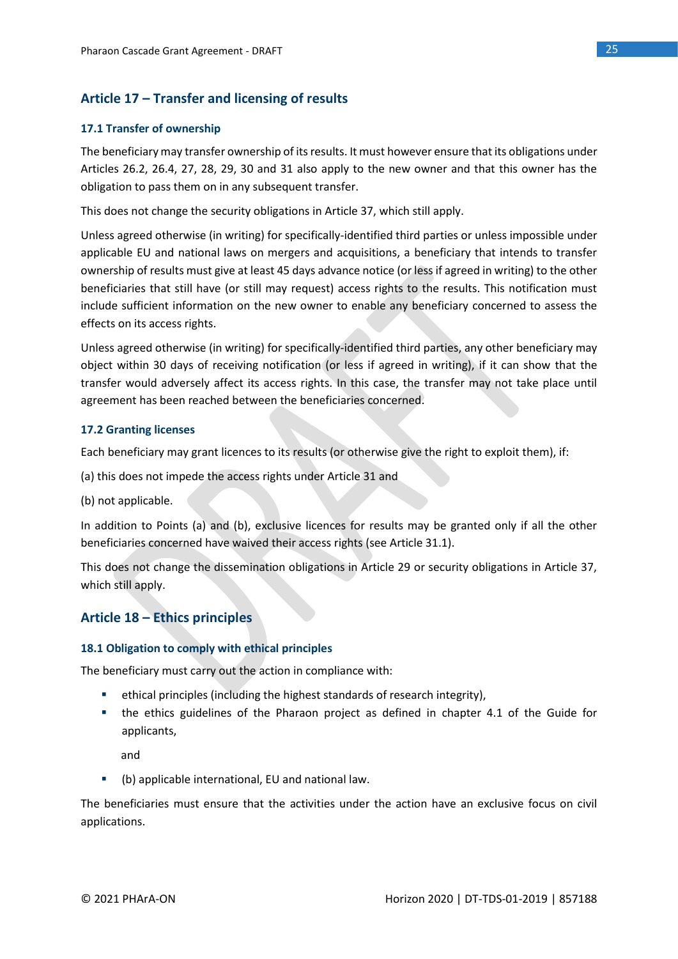### **Article 17 – Transfer and licensing of results**

### **17.1 Transfer of ownership**

The beneficiary may transfer ownership of its results. It must however ensure that its obligations under Articles 26.2, 26.4, 27, 28, 29, 30 and 31 also apply to the new owner and that this owner has the obligation to pass them on in any subsequent transfer.

This does not change the security obligations in Article 37, which still apply.

Unless agreed otherwise (in writing) for specifically-identified third parties or unless impossible under applicable EU and national laws on mergers and acquisitions, a beneficiary that intends to transfer ownership of results must give at least 45 days advance notice (or less if agreed in writing) to the other beneficiaries that still have (or still may request) access rights to the results. This notification must include sufficient information on the new owner to enable any beneficiary concerned to assess the effects on its access rights.

Unless agreed otherwise (in writing) for specifically-identified third parties, any other beneficiary may object within 30 days of receiving notification (or less if agreed in writing), if it can show that the transfer would adversely affect its access rights. In this case, the transfer may not take place until agreement has been reached between the beneficiaries concerned.

### **17.2 Granting licenses**

Each beneficiary may grant licences to its results (or otherwise give the right to exploit them), if:

(a) this does not impede the access rights under Article 31 and

(b) not applicable.

In addition to Points (a) and (b), exclusive licences for results may be granted only if all the other beneficiaries concerned have waived their access rights (see Article 31.1).

This does not change the dissemination obligations in Article 29 or security obligations in Article 37, which still apply.

### **Article 18 – Ethics principles**

### **18.1 Obligation to comply with ethical principles**

The beneficiary must carry out the action in compliance with:

- ethical principles (including the highest standards of research integrity),
- the ethics guidelines of the Pharaon project as defined in chapter 4.1 of the Guide for applicants,

and

▪ (b) applicable international, EU and national law.

The beneficiaries must ensure that the activities under the action have an exclusive focus on civil applications.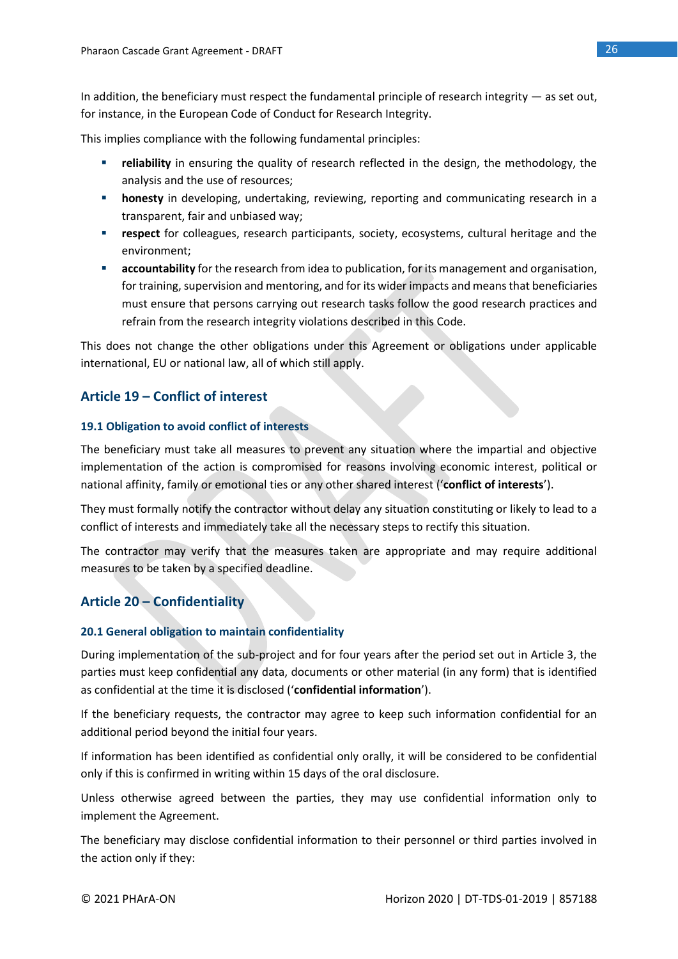In addition, the beneficiary must respect the fundamental principle of research integrity — as set out, for instance, in the European Code of Conduct for Research Integrity.

This implies compliance with the following fundamental principles:

- **EXECT** reliability in ensuring the quality of research reflected in the design, the methodology, the analysis and the use of resources;
- **honesty** in developing, undertaking, reviewing, reporting and communicating research in a transparent, fair and unbiased way;
- **Exercise Figure 1 respect** for colleagues, research participants, society, ecosystems, cultural heritage and the environment;
- **E** accountability for the research from idea to publication, for its management and organisation, for training, supervision and mentoring, and for its wider impacts and means that beneficiaries must ensure that persons carrying out research tasks follow the good research practices and refrain from the research integrity violations described in this Code.

This does not change the other obligations under this Agreement or obligations under applicable international, EU or national law, all of which still apply.

### **Article 19 – Conflict of interest**

### **19.1 Obligation to avoid conflict of interests**

The beneficiary must take all measures to prevent any situation where the impartial and objective implementation of the action is compromised for reasons involving economic interest, political or national affinity, family or emotional ties or any other shared interest ('**conflict of interests**').

They must formally notify the contractor without delay any situation constituting or likely to lead to a conflict of interests and immediately take all the necessary steps to rectify this situation.

The contractor may verify that the measures taken are appropriate and may require additional measures to be taken by a specified deadline.

### **Article 20 – Confidentiality**

### **20.1 General obligation to maintain confidentiality**

During implementation of the sub-project and for four years after the period set out in Article 3, the parties must keep confidential any data, documents or other material (in any form) that is identified as confidential at the time it is disclosed ('**confidential information**').

If the beneficiary requests, the contractor may agree to keep such information confidential for an additional period beyond the initial four years.

If information has been identified as confidential only orally, it will be considered to be confidential only if this is confirmed in writing within 15 days of the oral disclosure.

Unless otherwise agreed between the parties, they may use confidential information only to implement the Agreement.

The beneficiary may disclose confidential information to their personnel or third parties involved in the action only if they: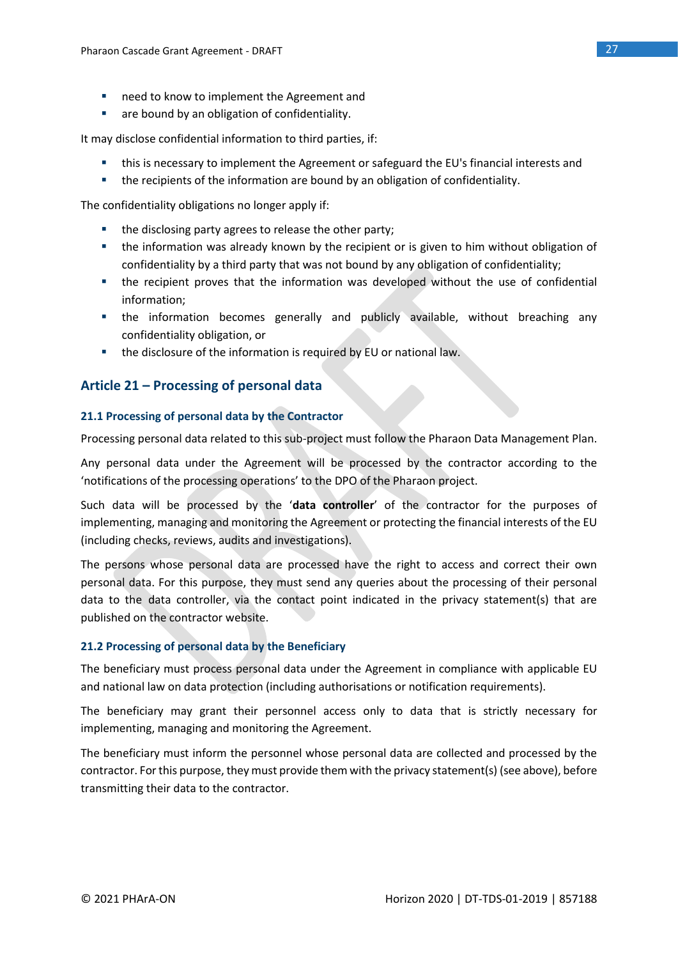- need to know to implement the Agreement and
- are bound by an obligation of confidentiality.

It may disclose confidential information to third parties, if:

- **■** this is necessary to implement the Agreement or safeguard the EU's financial interests and
- the recipients of the information are bound by an obligation of confidentiality.

The confidentiality obligations no longer apply if:

- the disclosing party agrees to release the other party;
- the information was already known by the recipient or is given to him without obligation of confidentiality by a third party that was not bound by any obligation of confidentiality;
- the recipient proves that the information was developed without the use of confidential information;
- the information becomes generally and publicly available, without breaching any confidentiality obligation, or
- the disclosure of the information is required by EU or national law.

### **Article 21 – Processing of personal data**

### **21.1 Processing of personal data by the Contractor**

Processing personal data related to this sub-project must follow the Pharaon Data Management Plan.

Any personal data under the Agreement will be processed by the contractor according to the 'notifications of the processing operations' to the DPO of the Pharaon project.

Such data will be processed by the '**data controller**' of the contractor for the purposes of implementing, managing and monitoring the Agreement or protecting the financial interests of the EU (including checks, reviews, audits and investigations).

The persons whose personal data are processed have the right to access and correct their own personal data. For this purpose, they must send any queries about the processing of their personal data to the data controller, via the contact point indicated in the privacy statement(s) that are published on the contractor website.

### **21.2 Processing of personal data by the Beneficiary**

The beneficiary must process personal data under the Agreement in compliance with applicable EU and national law on data protection (including authorisations or notification requirements).

The beneficiary may grant their personnel access only to data that is strictly necessary for implementing, managing and monitoring the Agreement.

The beneficiary must inform the personnel whose personal data are collected and processed by the contractor. For this purpose, they must provide them with the privacy statement(s) (see above), before transmitting their data to the contractor.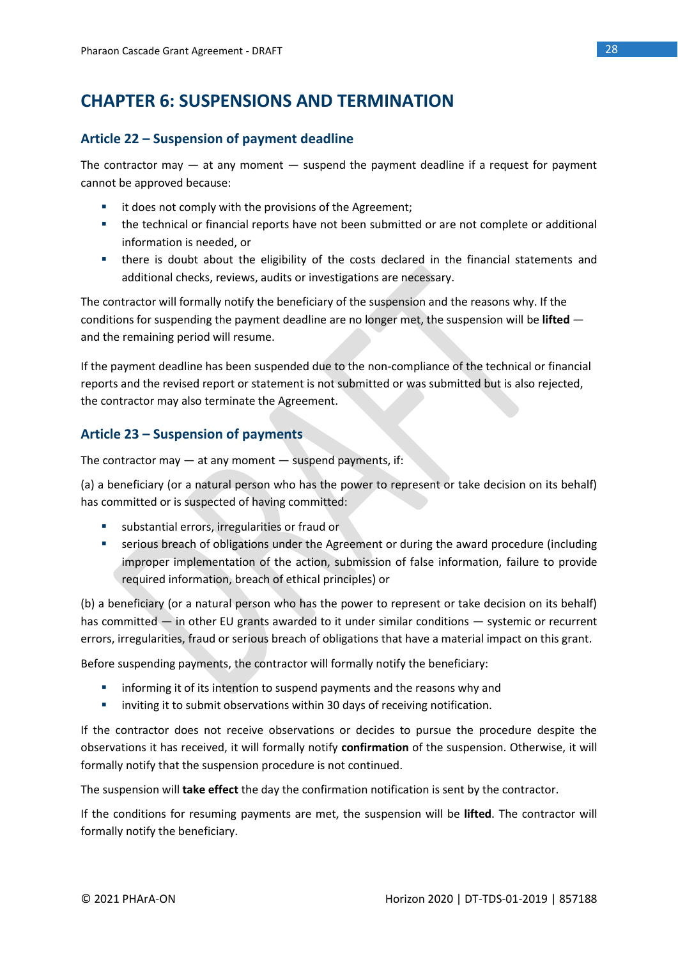# **CHAPTER 6: SUSPENSIONS AND TERMINATION**

### **Article 22 – Suspension of payment deadline**

The contractor may  $-$  at any moment  $-$  suspend the payment deadline if a request for payment cannot be approved because:

- it does not comply with the provisions of the Agreement:
- the technical or financial reports have not been submitted or are not complete or additional information is needed, or
- there is doubt about the eligibility of the costs declared in the financial statements and additional checks, reviews, audits or investigations are necessary.

The contractor will formally notify the beneficiary of the suspension and the reasons why. If the conditions for suspending the payment deadline are no longer met, the suspension will be **lifted**  and the remaining period will resume.

If the payment deadline has been suspended due to the non-compliance of the technical or financial reports and the revised report or statement is not submitted or was submitted but is also rejected, the contractor may also terminate the Agreement.

### **Article 23 – Suspension of payments**

The contractor may  $-$  at any moment  $-$  suspend payments, if:

(a) a beneficiary (or a natural person who has the power to represent or take decision on its behalf) has committed or is suspected of having committed:

- substantial errors, irregularities or fraud or
- **•** serious breach of obligations under the Agreement or during the award procedure (including improper implementation of the action, submission of false information, failure to provide required information, breach of ethical principles) or

(b) a beneficiary (or a natural person who has the power to represent or take decision on its behalf) has committed — in other EU grants awarded to it under similar conditions — systemic or recurrent errors, irregularities, fraud or serious breach of obligations that have a material impact on this grant.

Before suspending payments, the contractor will formally notify the beneficiary:

- **EXECT** informing it of its intention to suspend payments and the reasons why and
- **E** inviting it to submit observations within 30 days of receiving notification.

If the contractor does not receive observations or decides to pursue the procedure despite the observations it has received, it will formally notify **confirmation** of the suspension. Otherwise, it will formally notify that the suspension procedure is not continued.

The suspension will **take effect** the day the confirmation notification is sent by the contractor.

If the conditions for resuming payments are met, the suspension will be **lifted**. The contractor will formally notify the beneficiary.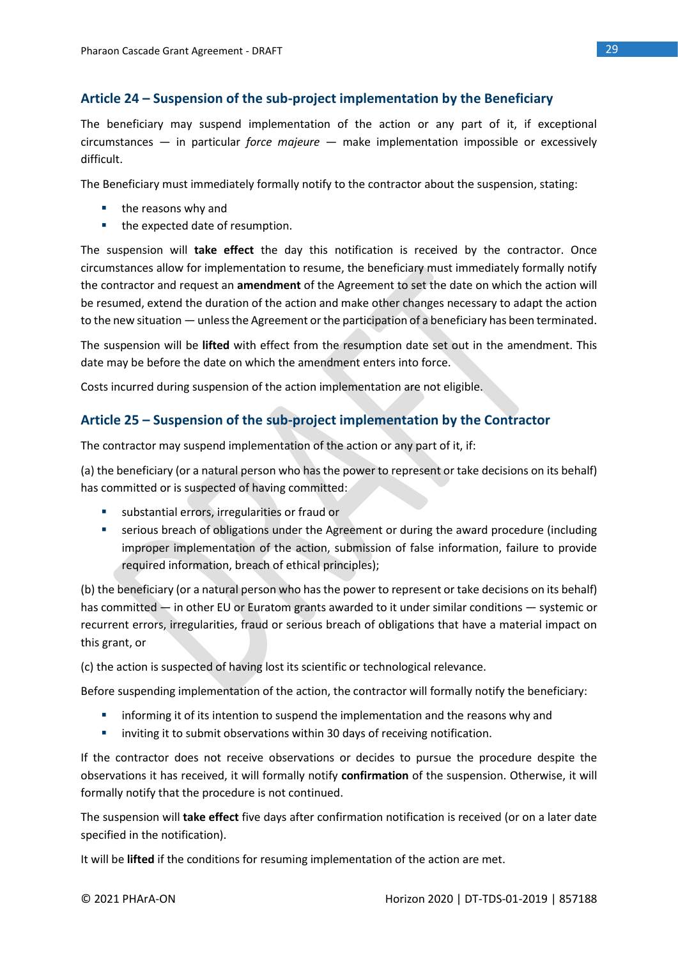### **Article 24 – Suspension of the sub-project implementation by the Beneficiary**

The beneficiary may suspend implementation of the action or any part of it, if exceptional circumstances — in particular *force majeure* — make implementation impossible or excessively difficult.

The Beneficiary must immediately formally notify to the contractor about the suspension, stating:

- the reasons why and
- the expected date of resumption.

The suspension will **take effect** the day this notification is received by the contractor. Once circumstances allow for implementation to resume, the beneficiary must immediately formally notify the contractor and request an **amendment** of the Agreement to set the date on which the action will be resumed, extend the duration of the action and make other changes necessary to adapt the action to the new situation — unless the Agreement or the participation of a beneficiary has been terminated.

The suspension will be **lifted** with effect from the resumption date set out in the amendment. This date may be before the date on which the amendment enters into force.

Costs incurred during suspension of the action implementation are not eligible.

### **Article 25 – Suspension of the sub-project implementation by the Contractor**

The contractor may suspend implementation of the action or any part of it, if:

(a) the beneficiary (or a natural person who has the power to represent or take decisions on its behalf) has committed or is suspected of having committed:

- substantial errors, irregularities or fraud or
- **•** serious breach of obligations under the Agreement or during the award procedure (including improper implementation of the action, submission of false information, failure to provide required information, breach of ethical principles);

(b) the beneficiary (or a natural person who has the power to represent or take decisions on its behalf) has committed — in other EU or Euratom grants awarded to it under similar conditions — systemic or recurrent errors, irregularities, fraud or serious breach of obligations that have a material impact on this grant, or

(c) the action is suspected of having lost its scientific or technological relevance.

Before suspending implementation of the action, the contractor will formally notify the beneficiary:

- **■** informing it of its intention to suspend the implementation and the reasons why and
- **E** inviting it to submit observations within 30 days of receiving notification.

If the contractor does not receive observations or decides to pursue the procedure despite the observations it has received, it will formally notify **confirmation** of the suspension. Otherwise, it will formally notify that the procedure is not continued.

The suspension will **take effect** five days after confirmation notification is received (or on a later date specified in the notification).

It will be **lifted** if the conditions for resuming implementation of the action are met.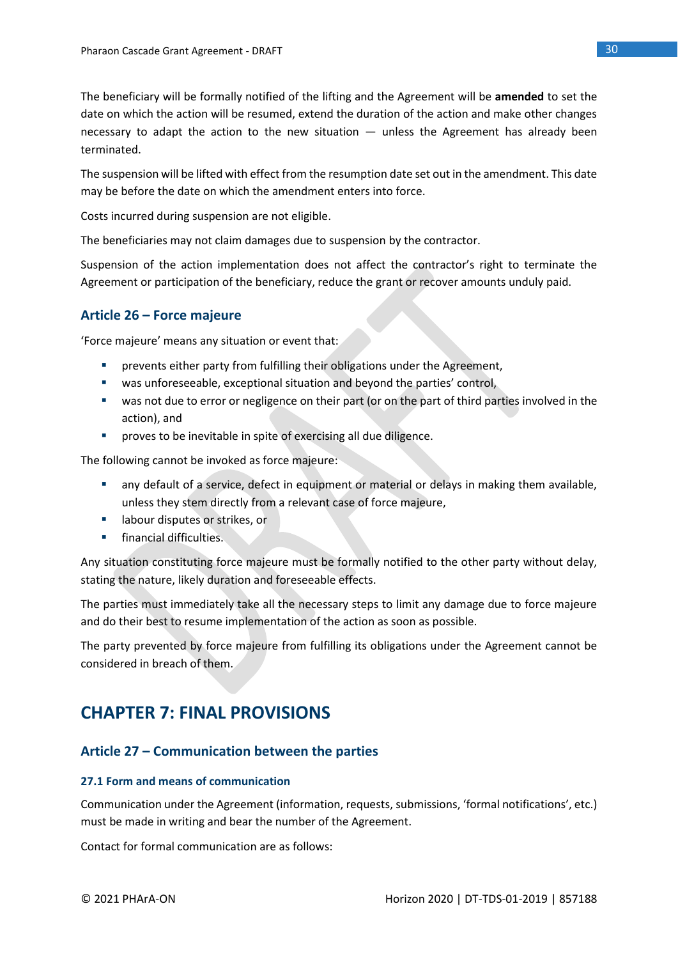The beneficiary will be formally notified of the lifting and the Agreement will be **amended** to set the date on which the action will be resumed, extend the duration of the action and make other changes necessary to adapt the action to the new situation — unless the Agreement has already been terminated.

The suspension will be lifted with effect from the resumption date set out in the amendment. This date may be before the date on which the amendment enters into force.

Costs incurred during suspension are not eligible.

The beneficiaries may not claim damages due to suspension by the contractor.

Suspension of the action implementation does not affect the contractor's right to terminate the Agreement or participation of the beneficiary, reduce the grant or recover amounts unduly paid.

### **Article 26 – Force majeure**

'Force majeure' means any situation or event that:

- **•** prevents either party from fulfilling their obligations under the Agreement,
- was unforeseeable, exceptional situation and beyond the parties' control,
- was not due to error or negligence on their part (or on the part of third parties involved in the action), and
- **•** proves to be inevitable in spite of exercising all due diligence.

The following cannot be invoked as force majeure:

- any default of a service, defect in equipment or material or delays in making them available, unless they stem directly from a relevant case of force majeure,
- labour disputes or strikes, or
- **■** financial difficulties.

Any situation constituting force majeure must be formally notified to the other party without delay, stating the nature, likely duration and foreseeable effects.

The parties must immediately take all the necessary steps to limit any damage due to force majeure and do their best to resume implementation of the action as soon as possible.

The party prevented by force majeure from fulfilling its obligations under the Agreement cannot be considered in breach of them.

# **CHAPTER 7: FINAL PROVISIONS**

### **Article 27 – Communication between the parties**

### **27.1 Form and means of communication**

Communication under the Agreement (information, requests, submissions, 'formal notifications', etc.) must be made in writing and bear the number of the Agreement.

Contact for formal communication are as follows: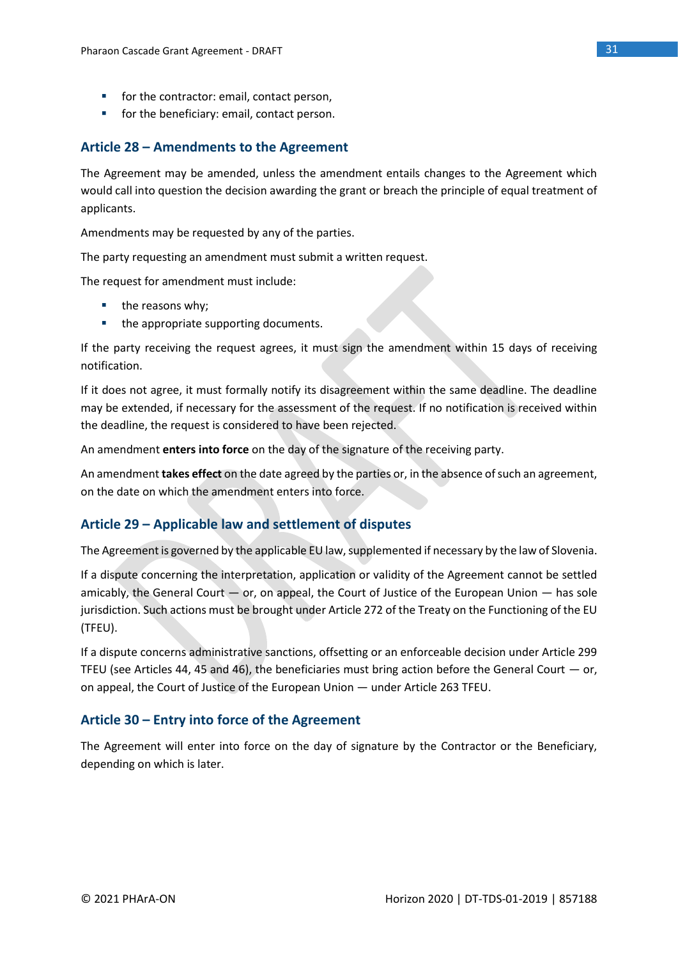- for the contractor: email, contact person,
- for the beneficiary: email, contact person.

### **Article 28 – Amendments to the Agreement**

The Agreement may be amended, unless the amendment entails changes to the Agreement which would call into question the decision awarding the grant or breach the principle of equal treatment of applicants.

Amendments may be requested by any of the parties.

The party requesting an amendment must submit a written request.

The request for amendment must include:

- the reasons why;
- the appropriate supporting documents.

If the party receiving the request agrees, it must sign the amendment within 15 days of receiving notification.

If it does not agree, it must formally notify its disagreement within the same deadline. The deadline may be extended, if necessary for the assessment of the request. If no notification is received within the deadline, the request is considered to have been rejected.

An amendment **enters into force** on the day of the signature of the receiving party.

An amendment **takes effect** on the date agreed by the parties or, in the absence of such an agreement, on the date on which the amendment enters into force.

### **Article 29 – Applicable law and settlement of disputes**

The Agreement is governed by the applicable EU law, supplemented if necessary by the law of Slovenia.

If a dispute concerning the interpretation, application or validity of the Agreement cannot be settled amicably, the General Court — or, on appeal, the Court of Justice of the European Union — has sole jurisdiction. Such actions must be brought under Article 272 of the Treaty on the Functioning of the EU (TFEU).

If a dispute concerns administrative sanctions, offsetting or an enforceable decision under Article 299 TFEU (see Articles 44, 45 and 46), the beneficiaries must bring action before the General Court  $-$  or, on appeal, the Court of Justice of the European Union — under Article 263 TFEU.

### **Article 30 – Entry into force of the Agreement**

The Agreement will enter into force on the day of signature by the Contractor or the Beneficiary, depending on which is later.